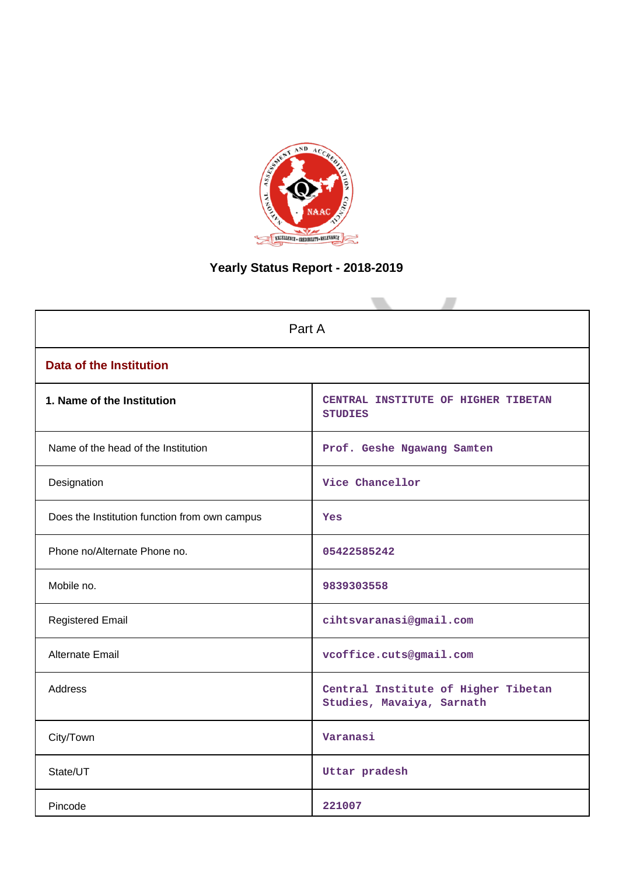

# **Yearly Status Report - 2018-2019**

| Part A                                        |                                                                  |  |  |  |  |  |  |
|-----------------------------------------------|------------------------------------------------------------------|--|--|--|--|--|--|
| <b>Data of the Institution</b>                |                                                                  |  |  |  |  |  |  |
| 1. Name of the Institution                    | CENTRAL INSTITUTE OF HIGHER TIBETAN<br><b>STUDIES</b>            |  |  |  |  |  |  |
| Name of the head of the Institution           | Prof. Geshe Ngawang Samten                                       |  |  |  |  |  |  |
| Designation                                   | Vice Chancellor                                                  |  |  |  |  |  |  |
| Does the Institution function from own campus | Yes                                                              |  |  |  |  |  |  |
| Phone no/Alternate Phone no.                  | 05422585242                                                      |  |  |  |  |  |  |
| Mobile no.                                    | 9839303558                                                       |  |  |  |  |  |  |
| <b>Registered Email</b>                       | cihtsvaranasi@gmail.com                                          |  |  |  |  |  |  |
| Alternate Email                               | vcoffice.cuts@gmail.com                                          |  |  |  |  |  |  |
| <b>Address</b>                                | Central Institute of Higher Tibetan<br>Studies, Mavaiya, Sarnath |  |  |  |  |  |  |
| City/Town                                     | Varanasi                                                         |  |  |  |  |  |  |
| State/UT                                      | Uttar pradesh                                                    |  |  |  |  |  |  |
| Pincode                                       | 221007                                                           |  |  |  |  |  |  |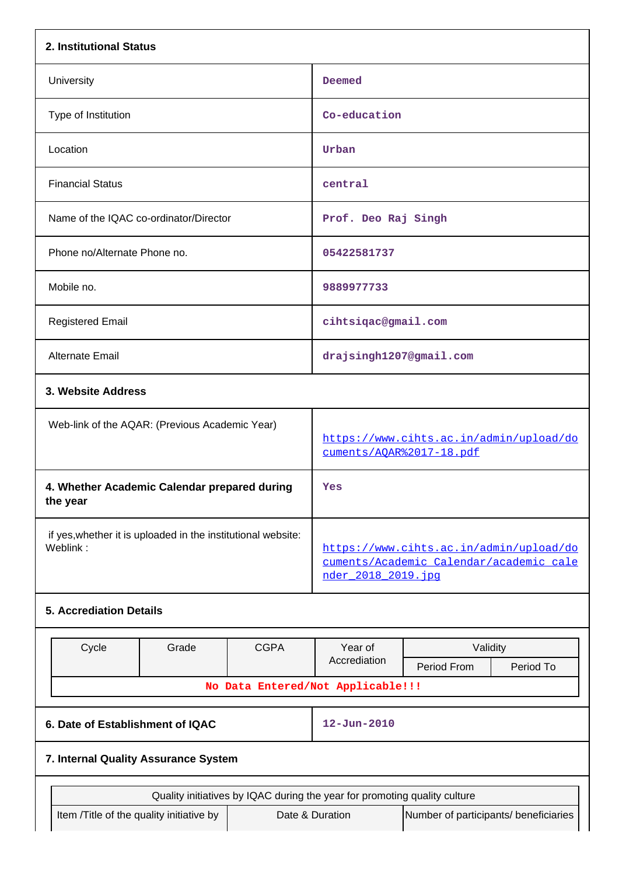| 2. Institutional Status                                                  |                                                                           |             |                                                                                                           |                                                                     |  |  |  |  |  |
|--------------------------------------------------------------------------|---------------------------------------------------------------------------|-------------|-----------------------------------------------------------------------------------------------------------|---------------------------------------------------------------------|--|--|--|--|--|
| University                                                               |                                                                           |             | Deemed                                                                                                    |                                                                     |  |  |  |  |  |
| Type of Institution                                                      |                                                                           |             | Co-education                                                                                              |                                                                     |  |  |  |  |  |
| Location                                                                 |                                                                           |             | Urban                                                                                                     |                                                                     |  |  |  |  |  |
| <b>Financial Status</b>                                                  |                                                                           |             | central                                                                                                   |                                                                     |  |  |  |  |  |
| Name of the IQAC co-ordinator/Director                                   |                                                                           |             | Prof. Deo Raj Singh                                                                                       |                                                                     |  |  |  |  |  |
| Phone no/Alternate Phone no.                                             |                                                                           |             | 05422581737                                                                                               |                                                                     |  |  |  |  |  |
| Mobile no.                                                               |                                                                           |             | 9889977733                                                                                                |                                                                     |  |  |  |  |  |
| <b>Registered Email</b>                                                  |                                                                           |             | cihtsiqac@gmail.com                                                                                       |                                                                     |  |  |  |  |  |
| <b>Alternate Email</b>                                                   |                                                                           |             | drajsingh1207@gmail.com                                                                                   |                                                                     |  |  |  |  |  |
| 3. Website Address                                                       |                                                                           |             |                                                                                                           |                                                                     |  |  |  |  |  |
|                                                                          | Web-link of the AQAR: (Previous Academic Year)                            |             |                                                                                                           | https://www.cihts.ac.in/admin/upload/do<br>cuments/AOAR%2017-18.pdf |  |  |  |  |  |
| 4. Whether Academic Calendar prepared during<br>the year                 |                                                                           |             | Yes                                                                                                       |                                                                     |  |  |  |  |  |
| if yes, whether it is uploaded in the institutional website:<br>Weblink: |                                                                           |             | https://www.cihts.ac.in/admin/upload/do<br>cuments/Academic Calendar/academic cale<br>nder 2018 2019. jpg |                                                                     |  |  |  |  |  |
| <b>5. Accrediation Details</b>                                           |                                                                           |             |                                                                                                           |                                                                     |  |  |  |  |  |
|                                                                          |                                                                           |             |                                                                                                           |                                                                     |  |  |  |  |  |
| Cycle                                                                    | Grade                                                                     | <b>CGPA</b> | Year of<br>Accrediation                                                                                   | Validity<br>Period From<br>Period To                                |  |  |  |  |  |
|                                                                          |                                                                           |             | No Data Entered/Not Applicable!!!                                                                         |                                                                     |  |  |  |  |  |
| 6. Date of Establishment of IQAC                                         |                                                                           |             | $12 - Jun - 2010$                                                                                         |                                                                     |  |  |  |  |  |
| 7. Internal Quality Assurance System                                     |                                                                           |             |                                                                                                           |                                                                     |  |  |  |  |  |
|                                                                          | Quality initiatives by IQAC during the year for promoting quality culture |             |                                                                                                           |                                                                     |  |  |  |  |  |
|                                                                          | Item /Title of the quality initiative by                                  |             | Date & Duration<br>Number of participants/ beneficiaries                                                  |                                                                     |  |  |  |  |  |
|                                                                          |                                                                           |             |                                                                                                           |                                                                     |  |  |  |  |  |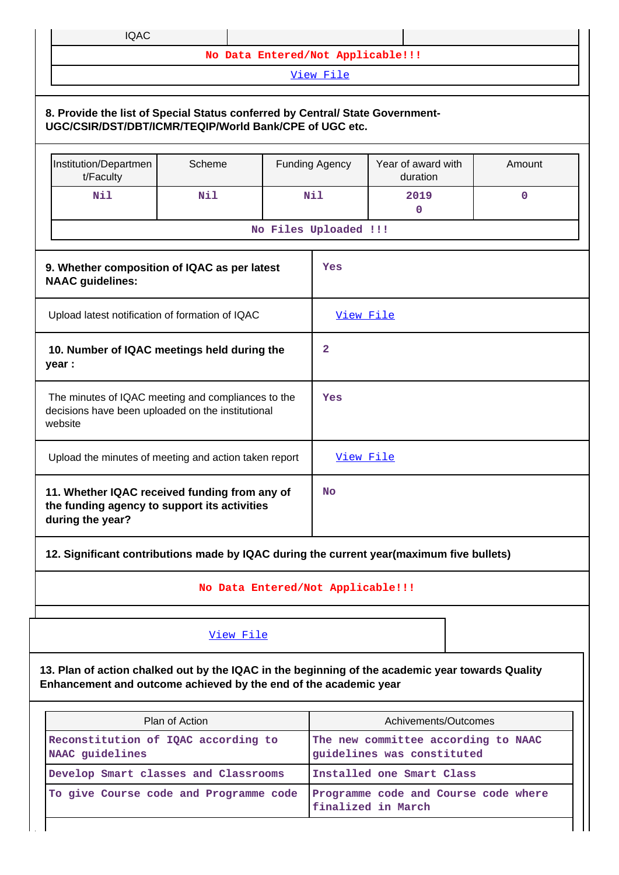| IQAC |  |  |
|------|--|--|
|      |  |  |

**No Data Entered/Not Applicable!!!**

[View File](https://assessmentonline.naac.gov.in/public/Postacc/Quality_Initiatives/6565_Quality_Initiatives.xlsx)

## **8. Provide the list of Special Status conferred by Central/ State Government-UGC/CSIR/DST/DBT/ICMR/TEQIP/World Bank/CPE of UGC etc.** Institution/Departmen t/Faculty Scheme | Funding Agency | Year of award with duration Amount **Nil Nil Nil 2019 0 0 No Files Uploaded !!! 9. Whether composition of IQAC as per latest NAAC guidelines: Yes** Upload latest notification of formation of IQAC [View File](https://assessmentonline.naac.gov.in/public/Postacc/Formation/6565_Formation.pdf)  **10. Number of IQAC meetings held during the year : 2** The minutes of IQAC meeting and compliances to the decisions have been uploaded on the institutional website **Yes** Upload the minutes of meeting and action taken report  $\overrightarrow{V_{\text{new}}$  File **11. Whether IQAC received funding from any of the funding agency to support its activities during the year? No 12. Significant contributions made by IQAC during the current year(maximum five bullets)**

## **No Data Entered/Not Applicable!!!**

## [View File](https://assessmentonline.naac.gov.in/public/Postacc/Contribution/6565_Contribution.xlsx)

**13. Plan of action chalked out by the IQAC in the beginning of the academic year towards Quality Enhancement and outcome achieved by the end of the academic year**

| Plan of Action                                         | Achivements/Outcomes                                              |  |  |  |  |
|--------------------------------------------------------|-------------------------------------------------------------------|--|--|--|--|
| Reconstitution of IQAC according to<br>NAAC guidelines | The new committee according to NAAC<br>guidelines was constituted |  |  |  |  |
| Develop Smart classes and Classrooms                   | Installed one Smart Class                                         |  |  |  |  |
| To give Course code and Programme code                 | Programme code and Course code where<br>finalized in March        |  |  |  |  |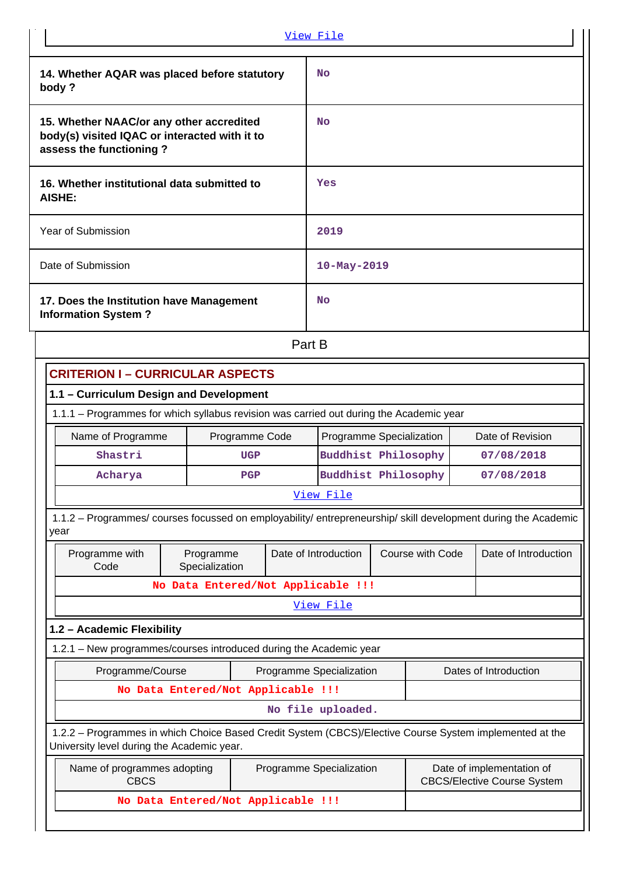|                                         |                                                                                                                                                       |                                    |     | View File         |                                                                                             |  |                  |                       |  |
|-----------------------------------------|-------------------------------------------------------------------------------------------------------------------------------------------------------|------------------------------------|-----|-------------------|---------------------------------------------------------------------------------------------|--|------------------|-----------------------|--|
|                                         | 14. Whether AQAR was placed before statutory<br>body?                                                                                                 |                                    |     |                   | <b>No</b>                                                                                   |  |                  |                       |  |
|                                         | 15. Whether NAAC/or any other accredited<br>body(s) visited IQAC or interacted with it to<br>assess the functioning?                                  |                                    |     |                   | <b>No</b>                                                                                   |  |                  |                       |  |
|                                         | 16. Whether institutional data submitted to<br><b>AISHE:</b>                                                                                          |                                    |     |                   | Yes                                                                                         |  |                  |                       |  |
|                                         | Year of Submission                                                                                                                                    |                                    |     | 2019              |                                                                                             |  |                  |                       |  |
|                                         | Date of Submission                                                                                                                                    |                                    |     | $10 - May - 2019$ |                                                                                             |  |                  |                       |  |
|                                         | 17. Does the Institution have Management<br><b>Information System?</b>                                                                                |                                    |     | <b>No</b>         |                                                                                             |  |                  |                       |  |
|                                         | Part B                                                                                                                                                |                                    |     |                   |                                                                                             |  |                  |                       |  |
|                                         | <b>CRITERION I - CURRICULAR ASPECTS</b>                                                                                                               |                                    |     |                   |                                                                                             |  |                  |                       |  |
| 1.1 - Curriculum Design and Development |                                                                                                                                                       |                                    |     |                   |                                                                                             |  |                  |                       |  |
|                                         | 1.1.1 - Programmes for which syllabus revision was carried out during the Academic year                                                               |                                    |     |                   |                                                                                             |  |                  |                       |  |
|                                         | Name of Programme                                                                                                                                     | Programme Code                     |     |                   | Programme Specialization                                                                    |  |                  | Date of Revision      |  |
|                                         | Shastri                                                                                                                                               |                                    | UGP |                   | Buddhist Philosophy                                                                         |  |                  | 07/08/2018            |  |
|                                         | Acharya                                                                                                                                               |                                    | PGP |                   | <b>Buddhist Philosophy</b><br>07/08/2018                                                    |  |                  |                       |  |
|                                         |                                                                                                                                                       |                                    |     |                   | View File                                                                                   |  |                  |                       |  |
|                                         | 1.1.2 - Programmes/ courses focussed on employability/ entrepreneurship/ skill development during the Academic<br>year                                |                                    |     |                   |                                                                                             |  |                  |                       |  |
|                                         | Programme with<br>Code                                                                                                                                | Programme<br>Specialization        |     |                   | Date of Introduction                                                                        |  | Course with Code | Date of Introduction  |  |
|                                         |                                                                                                                                                       | No Data Entered/Not Applicable !!! |     |                   |                                                                                             |  |                  |                       |  |
|                                         |                                                                                                                                                       |                                    |     |                   | View File                                                                                   |  |                  |                       |  |
|                                         | 1.2 - Academic Flexibility                                                                                                                            |                                    |     |                   |                                                                                             |  |                  |                       |  |
|                                         | 1.2.1 - New programmes/courses introduced during the Academic year                                                                                    |                                    |     |                   |                                                                                             |  |                  |                       |  |
|                                         | Programme/Course                                                                                                                                      |                                    |     |                   | Programme Specialization                                                                    |  |                  | Dates of Introduction |  |
|                                         |                                                                                                                                                       | No Data Entered/Not Applicable !!! |     |                   |                                                                                             |  |                  |                       |  |
|                                         |                                                                                                                                                       |                                    |     |                   | No file uploaded.                                                                           |  |                  |                       |  |
|                                         | 1.2.2 - Programmes in which Choice Based Credit System (CBCS)/Elective Course System implemented at the<br>University level during the Academic year. |                                    |     |                   |                                                                                             |  |                  |                       |  |
|                                         | Name of programmes adopting<br><b>CBCS</b>                                                                                                            |                                    |     |                   | Programme Specialization<br>Date of implementation of<br><b>CBCS/Elective Course System</b> |  |                  |                       |  |
|                                         |                                                                                                                                                       | No Data Entered/Not Applicable !!! |     |                   |                                                                                             |  |                  |                       |  |
|                                         |                                                                                                                                                       |                                    |     |                   |                                                                                             |  |                  |                       |  |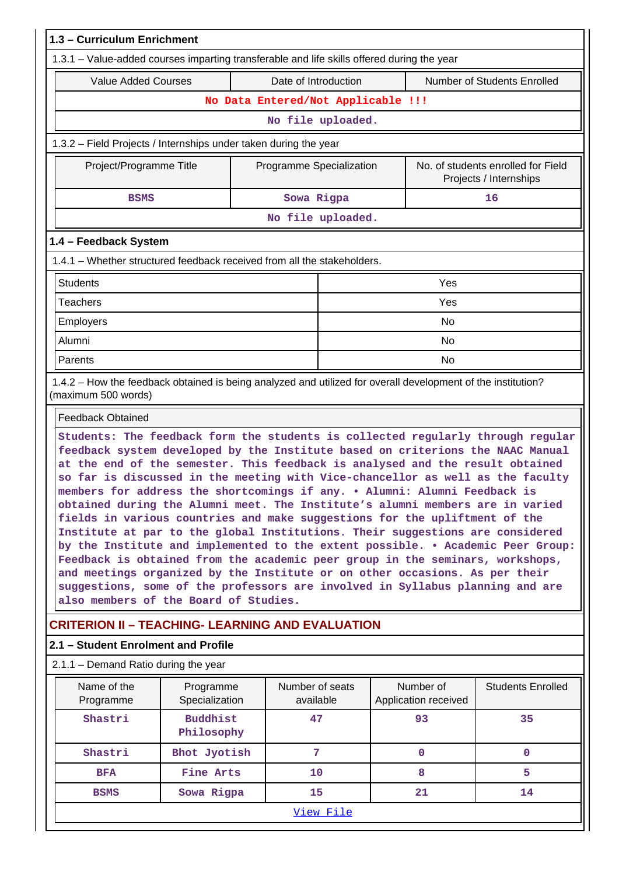| 1.3 - Curriculum Enrichment                                                                                                                                                                                                                                                                                                                                                                                                                                                                                                                                                                                                                                                                                                                                                                                                                                                                                                                                                                                                                    |                               |                                    |                                                              |  |                                   |                             |  |  |  |
|------------------------------------------------------------------------------------------------------------------------------------------------------------------------------------------------------------------------------------------------------------------------------------------------------------------------------------------------------------------------------------------------------------------------------------------------------------------------------------------------------------------------------------------------------------------------------------------------------------------------------------------------------------------------------------------------------------------------------------------------------------------------------------------------------------------------------------------------------------------------------------------------------------------------------------------------------------------------------------------------------------------------------------------------|-------------------------------|------------------------------------|--------------------------------------------------------------|--|-----------------------------------|-----------------------------|--|--|--|
| 1.3.1 – Value-added courses imparting transferable and life skills offered during the year                                                                                                                                                                                                                                                                                                                                                                                                                                                                                                                                                                                                                                                                                                                                                                                                                                                                                                                                                     |                               |                                    |                                                              |  |                                   |                             |  |  |  |
| <b>Value Added Courses</b>                                                                                                                                                                                                                                                                                                                                                                                                                                                                                                                                                                                                                                                                                                                                                                                                                                                                                                                                                                                                                     |                               | Date of Introduction               |                                                              |  |                                   | Number of Students Enrolled |  |  |  |
|                                                                                                                                                                                                                                                                                                                                                                                                                                                                                                                                                                                                                                                                                                                                                                                                                                                                                                                                                                                                                                                |                               | No Data Entered/Not Applicable !!! |                                                              |  |                                   |                             |  |  |  |
| No file uploaded.                                                                                                                                                                                                                                                                                                                                                                                                                                                                                                                                                                                                                                                                                                                                                                                                                                                                                                                                                                                                                              |                               |                                    |                                                              |  |                                   |                             |  |  |  |
| 1.3.2 – Field Projects / Internships under taken during the year                                                                                                                                                                                                                                                                                                                                                                                                                                                                                                                                                                                                                                                                                                                                                                                                                                                                                                                                                                               |                               |                                    |                                                              |  |                                   |                             |  |  |  |
| Project/Programme Title                                                                                                                                                                                                                                                                                                                                                                                                                                                                                                                                                                                                                                                                                                                                                                                                                                                                                                                                                                                                                        |                               | Programme Specialization           | No. of students enrolled for Field<br>Projects / Internships |  |                                   |                             |  |  |  |
| <b>BSMS</b>                                                                                                                                                                                                                                                                                                                                                                                                                                                                                                                                                                                                                                                                                                                                                                                                                                                                                                                                                                                                                                    |                               | Sowa Rigpa                         |                                                              |  |                                   | 16                          |  |  |  |
| No file uploaded.                                                                                                                                                                                                                                                                                                                                                                                                                                                                                                                                                                                                                                                                                                                                                                                                                                                                                                                                                                                                                              |                               |                                    |                                                              |  |                                   |                             |  |  |  |
| 1.4 - Feedback System                                                                                                                                                                                                                                                                                                                                                                                                                                                                                                                                                                                                                                                                                                                                                                                                                                                                                                                                                                                                                          |                               |                                    |                                                              |  |                                   |                             |  |  |  |
| 1.4.1 - Whether structured feedback received from all the stakeholders.                                                                                                                                                                                                                                                                                                                                                                                                                                                                                                                                                                                                                                                                                                                                                                                                                                                                                                                                                                        |                               |                                    |                                                              |  |                                   |                             |  |  |  |
| <b>Students</b><br>Yes                                                                                                                                                                                                                                                                                                                                                                                                                                                                                                                                                                                                                                                                                                                                                                                                                                                                                                                                                                                                                         |                               |                                    |                                                              |  |                                   |                             |  |  |  |
| <b>Teachers</b>                                                                                                                                                                                                                                                                                                                                                                                                                                                                                                                                                                                                                                                                                                                                                                                                                                                                                                                                                                                                                                |                               |                                    |                                                              |  | Yes                               |                             |  |  |  |
| Employers                                                                                                                                                                                                                                                                                                                                                                                                                                                                                                                                                                                                                                                                                                                                                                                                                                                                                                                                                                                                                                      |                               |                                    |                                                              |  | <b>No</b>                         |                             |  |  |  |
| Alumni                                                                                                                                                                                                                                                                                                                                                                                                                                                                                                                                                                                                                                                                                                                                                                                                                                                                                                                                                                                                                                         |                               |                                    |                                                              |  | <b>No</b>                         |                             |  |  |  |
| No<br>Parents                                                                                                                                                                                                                                                                                                                                                                                                                                                                                                                                                                                                                                                                                                                                                                                                                                                                                                                                                                                                                                  |                               |                                    |                                                              |  |                                   |                             |  |  |  |
| 1.4.2 - How the feedback obtained is being analyzed and utilized for overall development of the institution?<br>(maximum 500 words)                                                                                                                                                                                                                                                                                                                                                                                                                                                                                                                                                                                                                                                                                                                                                                                                                                                                                                            |                               |                                    |                                                              |  |                                   |                             |  |  |  |
| <b>Feedback Obtained</b>                                                                                                                                                                                                                                                                                                                                                                                                                                                                                                                                                                                                                                                                                                                                                                                                                                                                                                                                                                                                                       |                               |                                    |                                                              |  |                                   |                             |  |  |  |
| Students: The feedback form the students is collected regularly through regular<br>feedback system developed by the Institute based on criterions the NAAC Manual<br>at the end of the semester. This feedback is analysed and the result obtained<br>so far is discussed in the meeting with Vice-chancellor as well as the faculty<br>members for address the shortcomings if any. . Alumni: Alumni Feedback is<br>obtained during the Alumni meet. The Institute's alumni members are in varied<br>fields in various countries and make suggestions for the upliftment of the<br>Institute at par to the global Institutions. Their suggestions are considered<br>by the Institute and implemented to the extent possible. . Academic Peer Group:<br>Feedback is obtained from the academic peer group in the seminars, workshops,<br>and meetings organized by the Institute or on other occasions. As per their<br>suggestions, some of the professors are involved in Syllabus planning and are<br>also members of the Board of Studies. |                               |                                    |                                                              |  |                                   |                             |  |  |  |
| <b>CRITERION II - TEACHING- LEARNING AND EVALUATION</b>                                                                                                                                                                                                                                                                                                                                                                                                                                                                                                                                                                                                                                                                                                                                                                                                                                                                                                                                                                                        |                               |                                    |                                                              |  |                                   |                             |  |  |  |
| 2.1 - Student Enrolment and Profile                                                                                                                                                                                                                                                                                                                                                                                                                                                                                                                                                                                                                                                                                                                                                                                                                                                                                                                                                                                                            |                               |                                    |                                                              |  |                                   |                             |  |  |  |
| 2.1.1 – Demand Ratio during the year                                                                                                                                                                                                                                                                                                                                                                                                                                                                                                                                                                                                                                                                                                                                                                                                                                                                                                                                                                                                           |                               |                                    |                                                              |  |                                   |                             |  |  |  |
| Name of the<br>Programme                                                                                                                                                                                                                                                                                                                                                                                                                                                                                                                                                                                                                                                                                                                                                                                                                                                                                                                                                                                                                       | Programme<br>Specialization   | Number of seats<br>available       |                                                              |  | Number of<br>Application received | <b>Students Enrolled</b>    |  |  |  |
| Shastri                                                                                                                                                                                                                                                                                                                                                                                                                                                                                                                                                                                                                                                                                                                                                                                                                                                                                                                                                                                                                                        | <b>Buddhist</b><br>Philosophy | 47                                 |                                                              |  | 93                                | 35                          |  |  |  |
| Shastri                                                                                                                                                                                                                                                                                                                                                                                                                                                                                                                                                                                                                                                                                                                                                                                                                                                                                                                                                                                                                                        | Bhot Jyotish                  | 7                                  |                                                              |  | 0                                 | $\mathbf{0}$                |  |  |  |
| <b>BFA</b>                                                                                                                                                                                                                                                                                                                                                                                                                                                                                                                                                                                                                                                                                                                                                                                                                                                                                                                                                                                                                                     | Fine Arts                     | 10                                 |                                                              |  | 8                                 | 5                           |  |  |  |
| <b>BSMS</b>                                                                                                                                                                                                                                                                                                                                                                                                                                                                                                                                                                                                                                                                                                                                                                                                                                                                                                                                                                                                                                    | Sowa Rigpa                    | 15                                 |                                                              |  | 21                                | 14                          |  |  |  |
|                                                                                                                                                                                                                                                                                                                                                                                                                                                                                                                                                                                                                                                                                                                                                                                                                                                                                                                                                                                                                                                |                               |                                    | <u>View File</u>                                             |  |                                   |                             |  |  |  |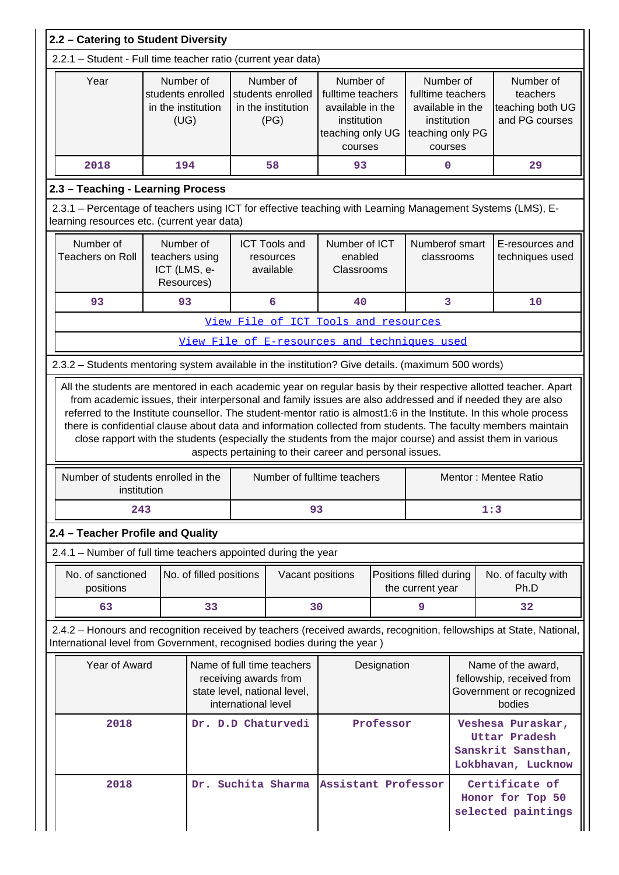| 2.2 - Catering to Student Diversity                                                               |                                                                                                                                                                                                                                                                                                                                                                                                                                                                                                            |                                                              |                         |                                                          |                                                                                     |                                                                                                  |             |                                                                                                  |                                                             |                                                                                                                     |
|---------------------------------------------------------------------------------------------------|------------------------------------------------------------------------------------------------------------------------------------------------------------------------------------------------------------------------------------------------------------------------------------------------------------------------------------------------------------------------------------------------------------------------------------------------------------------------------------------------------------|--------------------------------------------------------------|-------------------------|----------------------------------------------------------|-------------------------------------------------------------------------------------|--------------------------------------------------------------------------------------------------|-------------|--------------------------------------------------------------------------------------------------|-------------------------------------------------------------|---------------------------------------------------------------------------------------------------------------------|
| 2.2.1 - Student - Full time teacher ratio (current year data)                                     |                                                                                                                                                                                                                                                                                                                                                                                                                                                                                                            |                                                              |                         |                                                          |                                                                                     |                                                                                                  |             |                                                                                                  |                                                             |                                                                                                                     |
| Year                                                                                              |                                                                                                                                                                                                                                                                                                                                                                                                                                                                                                            | Number of<br>students enrolled<br>in the institution<br>(UG) |                         |                                                          | Number of<br>students enrolled<br>in the institution<br>(PG)                        | Number of<br>fulltime teachers<br>available in the<br>institution<br>teaching only UG<br>courses |             | Number of<br>fulltime teachers<br>available in the<br>institution<br>teaching only PG<br>courses | Number of<br>teachers<br>teaching both UG<br>and PG courses |                                                                                                                     |
| 2018                                                                                              |                                                                                                                                                                                                                                                                                                                                                                                                                                                                                                            | 194                                                          |                         |                                                          | 58                                                                                  | 93                                                                                               |             | 0                                                                                                |                                                             | 29                                                                                                                  |
| 2.3 - Teaching - Learning Process                                                                 |                                                                                                                                                                                                                                                                                                                                                                                                                                                                                                            |                                                              |                         |                                                          |                                                                                     |                                                                                                  |             |                                                                                                  |                                                             |                                                                                                                     |
| learning resources etc. (current year data)                                                       |                                                                                                                                                                                                                                                                                                                                                                                                                                                                                                            |                                                              |                         |                                                          |                                                                                     |                                                                                                  |             |                                                                                                  |                                                             | 2.3.1 - Percentage of teachers using ICT for effective teaching with Learning Management Systems (LMS), E-          |
| Number of<br><b>Teachers on Roll</b>                                                              |                                                                                                                                                                                                                                                                                                                                                                                                                                                                                                            | Number of<br>teachers using<br>ICT (LMS, e-<br>Resources)    |                         |                                                          | <b>ICT Tools and</b><br>resources<br>available                                      | Numberof smart<br>Number of ICT<br>enabled<br>classrooms<br>Classrooms                           |             |                                                                                                  | E-resources and<br>techniques used                          |                                                                                                                     |
| 93                                                                                                |                                                                                                                                                                                                                                                                                                                                                                                                                                                                                                            | 93                                                           |                         |                                                          | 6                                                                                   | 40                                                                                               |             | 3                                                                                                |                                                             | 10                                                                                                                  |
| View File of ICT Tools and resources                                                              |                                                                                                                                                                                                                                                                                                                                                                                                                                                                                                            |                                                              |                         |                                                          |                                                                                     |                                                                                                  |             |                                                                                                  |                                                             |                                                                                                                     |
| View File of E-resources and techniques used                                                      |                                                                                                                                                                                                                                                                                                                                                                                                                                                                                                            |                                                              |                         |                                                          |                                                                                     |                                                                                                  |             |                                                                                                  |                                                             |                                                                                                                     |
| 2.3.2 - Students mentoring system available in the institution? Give details. (maximum 500 words) |                                                                                                                                                                                                                                                                                                                                                                                                                                                                                                            |                                                              |                         |                                                          |                                                                                     |                                                                                                  |             |                                                                                                  |                                                             |                                                                                                                     |
|                                                                                                   | referred to the Institute counsellor. The student-mentor ratio is almost1:6 in the Institute. In this whole process<br>there is confidential clause about data and information collected from students. The faculty members maintain<br>close rapport with the students (especially the students from the major course) and assist them in various<br>aspects pertaining to their career and personal issues.<br>Number of students enrolled in the<br>Mentor: Mentee Ratio<br>Number of fulltime teachers |                                                              |                         |                                                          |                                                                                     |                                                                                                  |             |                                                                                                  |                                                             |                                                                                                                     |
|                                                                                                   | institution<br>243                                                                                                                                                                                                                                                                                                                                                                                                                                                                                         |                                                              |                         |                                                          | 93                                                                                  |                                                                                                  |             |                                                                                                  |                                                             | 1:3                                                                                                                 |
| 2.4 - Teacher Profile and Quality                                                                 |                                                                                                                                                                                                                                                                                                                                                                                                                                                                                                            |                                                              |                         |                                                          |                                                                                     |                                                                                                  |             |                                                                                                  |                                                             |                                                                                                                     |
| 2.4.1 – Number of full time teachers appointed during the year                                    |                                                                                                                                                                                                                                                                                                                                                                                                                                                                                                            |                                                              |                         |                                                          |                                                                                     |                                                                                                  |             |                                                                                                  |                                                             |                                                                                                                     |
|                                                                                                   | No. of sanctioned<br>positions                                                                                                                                                                                                                                                                                                                                                                                                                                                                             |                                                              | No. of filled positions |                                                          | Vacant positions                                                                    |                                                                                                  |             | Positions filled during<br>the current year                                                      |                                                             | No. of faculty with<br>Ph.D                                                                                         |
|                                                                                                   | 63                                                                                                                                                                                                                                                                                                                                                                                                                                                                                                         |                                                              | 33                      |                                                          | 30                                                                                  |                                                                                                  |             | 9                                                                                                |                                                             | 32                                                                                                                  |
| International level from Government, recognised bodies during the year)                           |                                                                                                                                                                                                                                                                                                                                                                                                                                                                                                            |                                                              |                         |                                                          |                                                                                     |                                                                                                  |             |                                                                                                  |                                                             | 2.4.2 - Honours and recognition received by teachers (received awards, recognition, fellowships at State, National, |
|                                                                                                   | Year of Award                                                                                                                                                                                                                                                                                                                                                                                                                                                                                              |                                                              |                         | international level                                      | Name of full time teachers<br>receiving awards from<br>state level, national level, |                                                                                                  | Designation |                                                                                                  |                                                             | Name of the award,<br>fellowship, received from<br>Government or recognized<br>bodies                               |
|                                                                                                   | 2018                                                                                                                                                                                                                                                                                                                                                                                                                                                                                                       |                                                              |                         |                                                          | Dr. D.D Chaturvedi                                                                  |                                                                                                  | Professor   |                                                                                                  |                                                             | Veshesa Puraskar,<br>Uttar Pradesh<br>Sanskrit Sansthan,<br>Lokbhavan, Lucknow                                      |
| Suchita Sharma<br>Assistant Professor<br>2018<br>Dr.                                              |                                                                                                                                                                                                                                                                                                                                                                                                                                                                                                            |                                                              |                         | Certificate of<br>Honor for Top 50<br>selected paintings |                                                                                     |                                                                                                  |             |                                                                                                  |                                                             |                                                                                                                     |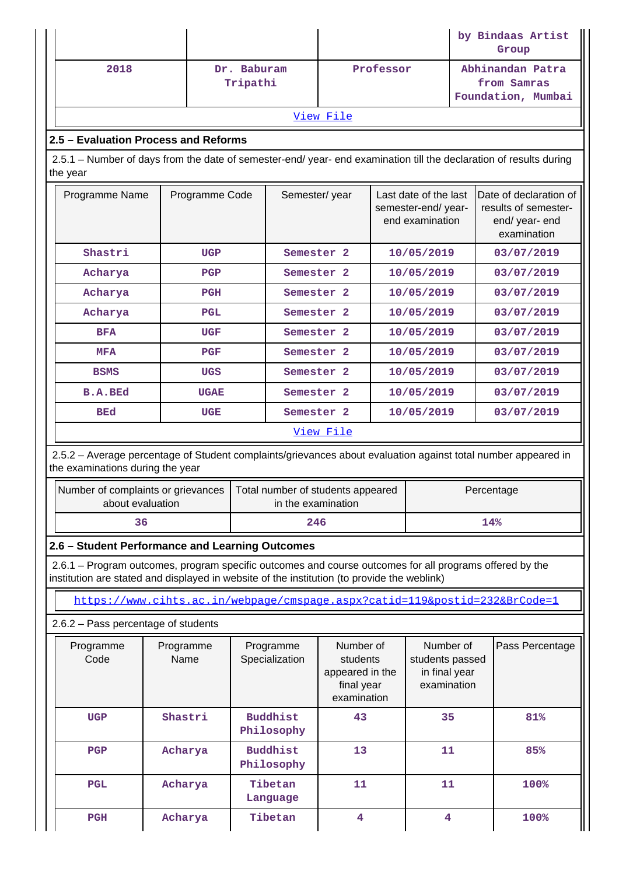|          |                                                                                                                    |                   |             |                                     |                                                         | by Bindaas Artist<br>Group                                                                  |           |                                                              |                                                                                 |                                                                                                               |  |
|----------|--------------------------------------------------------------------------------------------------------------------|-------------------|-------------|-------------------------------------|---------------------------------------------------------|---------------------------------------------------------------------------------------------|-----------|--------------------------------------------------------------|---------------------------------------------------------------------------------|---------------------------------------------------------------------------------------------------------------|--|
|          | 2018                                                                                                               |                   |             | Dr. Baburam<br>Tripathi             |                                                         |                                                                                             | Professor |                                                              |                                                                                 | Abhinandan Patra<br>from Samras<br>Foundation, Mumbai                                                         |  |
|          |                                                                                                                    |                   |             |                                     |                                                         | View File                                                                                   |           |                                                              |                                                                                 |                                                                                                               |  |
|          | 2.5 - Evaluation Process and Reforms                                                                               |                   |             |                                     |                                                         |                                                                                             |           |                                                              |                                                                                 |                                                                                                               |  |
| the year | 2.5.1 – Number of days from the date of semester-end/ year- end examination till the declaration of results during |                   |             |                                     |                                                         |                                                                                             |           |                                                              |                                                                                 |                                                                                                               |  |
|          | Programme Name<br>Programme Code                                                                                   |                   |             | Semester/year                       |                                                         | Last date of the last<br>semester-end/year-<br>end examination                              |           |                                                              | Date of declaration of<br>results of semester-<br>end/ year- end<br>examination |                                                                                                               |  |
|          | Shastri                                                                                                            |                   | <b>UGP</b>  |                                     | Semester <sub>2</sub>                                   |                                                                                             |           | 10/05/2019                                                   |                                                                                 | 03/07/2019                                                                                                    |  |
|          | Acharya                                                                                                            |                   | PGP         |                                     | Semester <sub>2</sub>                                   |                                                                                             |           | 10/05/2019                                                   |                                                                                 | 03/07/2019                                                                                                    |  |
|          | Acharya                                                                                                            |                   | PGH         |                                     | Semester <sub>2</sub>                                   |                                                                                             |           | 10/05/2019                                                   |                                                                                 | 03/07/2019                                                                                                    |  |
|          | Acharya                                                                                                            |                   | <b>PGL</b>  |                                     | Semester <sub>2</sub>                                   |                                                                                             |           | 10/05/2019                                                   |                                                                                 | 03/07/2019                                                                                                    |  |
|          | <b>BFA</b>                                                                                                         |                   | <b>UGF</b>  |                                     | Semester <sub>2</sub>                                   |                                                                                             |           | 10/05/2019                                                   |                                                                                 | 03/07/2019                                                                                                    |  |
|          | <b>MFA</b>                                                                                                         |                   | PGF         |                                     | Semester <sub>2</sub>                                   |                                                                                             |           | 10/05/2019                                                   |                                                                                 | 03/07/2019                                                                                                    |  |
|          | <b>BSMS</b>                                                                                                        |                   | <b>UGS</b>  |                                     |                                                         | 10/05/2019<br>Semester <sub>2</sub>                                                         |           |                                                              | 03/07/2019                                                                      |                                                                                                               |  |
|          | <b>B.A.BEd</b>                                                                                                     |                   | <b>UGAE</b> |                                     |                                                         | Semester <sub>2</sub>                                                                       |           | 10/05/2019                                                   |                                                                                 | 03/07/2019                                                                                                    |  |
|          | <b>BEd</b>                                                                                                         |                   | <b>UGE</b>  | Semester <sub>2</sub><br>10/05/2019 |                                                         |                                                                                             |           |                                                              | 03/07/2019                                                                      |                                                                                                               |  |
|          |                                                                                                                    |                   |             |                                     |                                                         | View File                                                                                   |           |                                                              |                                                                                 |                                                                                                               |  |
|          | the examinations during the year                                                                                   |                   |             |                                     |                                                         |                                                                                             |           |                                                              |                                                                                 | 2.5.2 - Average percentage of Student complaints/grievances about evaluation against total number appeared in |  |
|          | Number of complaints or grievances<br>about evaluation                                                             |                   |             |                                     | Total number of students appeared<br>in the examination |                                                                                             |           |                                                              |                                                                                 | Percentage                                                                                                    |  |
|          | 36                                                                                                                 |                   |             |                                     | 246                                                     |                                                                                             |           | 14%                                                          |                                                                                 |                                                                                                               |  |
|          |                                                                                                                    |                   |             |                                     | 2.6 - Student Performance and Learning Outcomes         |                                                                                             |           |                                                              |                                                                                 |                                                                                                               |  |
|          |                                                                                                                    |                   |             |                                     |                                                         | institution are stated and displayed in website of the institution (to provide the weblink) |           |                                                              |                                                                                 | 2.6.1 – Program outcomes, program specific outcomes and course outcomes for all programs offered by the       |  |
|          |                                                                                                                    |                   |             |                                     |                                                         |                                                                                             |           |                                                              |                                                                                 | https://www.cihts.ac.in/webpage/cmspage.aspx?catid=119&postid=232&BrCode=1                                    |  |
|          | 2.6.2 - Pass percentage of students                                                                                |                   |             |                                     |                                                         |                                                                                             |           |                                                              |                                                                                 |                                                                                                               |  |
|          | Programme<br>Code                                                                                                  | Programme<br>Name |             |                                     | Programme<br>Specialization                             | Number of<br>students<br>appeared in the<br>final year<br>examination                       |           | Number of<br>students passed<br>in final year<br>examination |                                                                                 | Pass Percentage                                                                                               |  |
|          | <b>UGP</b>                                                                                                         | Shastri           |             |                                     | <b>Buddhist</b><br>Philosophy                           | 43                                                                                          |           | 35                                                           |                                                                                 | 81%                                                                                                           |  |
|          | PGP                                                                                                                | Acharya           |             |                                     | <b>Buddhist</b><br>Philosophy                           | 13                                                                                          |           | 11                                                           |                                                                                 | 85%                                                                                                           |  |
|          | <b>PGL</b>                                                                                                         | Acharya           |             |                                     | Tibetan<br>Language                                     | 11                                                                                          |           | 11                                                           |                                                                                 | 100%                                                                                                          |  |
|          | PGH                                                                                                                | Acharya           |             |                                     | Tibetan                                                 | 4                                                                                           |           | 4                                                            |                                                                                 | 100%                                                                                                          |  |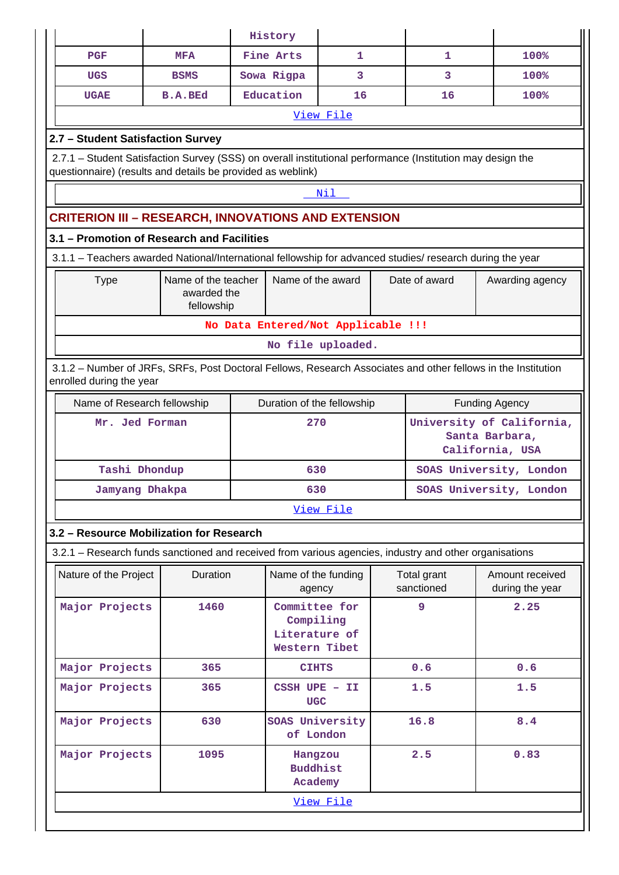|                                                                                                                                                                           |                                                                                                           | History                                     |                              |  |                           |                                    |  |  |  |  |  |
|---------------------------------------------------------------------------------------------------------------------------------------------------------------------------|-----------------------------------------------------------------------------------------------------------|---------------------------------------------|------------------------------|--|---------------------------|------------------------------------|--|--|--|--|--|
| PGF                                                                                                                                                                       | <b>MFA</b>                                                                                                | Fine Arts                                   | 1                            |  | 1                         | 100%                               |  |  |  |  |  |
| <b>UGS</b>                                                                                                                                                                | <b>BSMS</b>                                                                                               | Sowa Rigpa                                  | 3                            |  | 3                         | 100%                               |  |  |  |  |  |
| <b>UGAE</b>                                                                                                                                                               | <b>B.A.BEd</b>                                                                                            | Education                                   | 16                           |  | 16                        | 100%                               |  |  |  |  |  |
|                                                                                                                                                                           | View File                                                                                                 |                                             |                              |  |                           |                                    |  |  |  |  |  |
| 2.7 - Student Satisfaction Survey                                                                                                                                         |                                                                                                           |                                             |                              |  |                           |                                    |  |  |  |  |  |
| 2.7.1 - Student Satisfaction Survey (SSS) on overall institutional performance (Institution may design the<br>questionnaire) (results and details be provided as weblink) |                                                                                                           |                                             |                              |  |                           |                                    |  |  |  |  |  |
|                                                                                                                                                                           |                                                                                                           |                                             | Nil                          |  |                           |                                    |  |  |  |  |  |
| <b>CRITERION III - RESEARCH, INNOVATIONS AND EXTENSION</b>                                                                                                                |                                                                                                           |                                             |                              |  |                           |                                    |  |  |  |  |  |
| 3.1 - Promotion of Research and Facilities                                                                                                                                |                                                                                                           |                                             |                              |  |                           |                                    |  |  |  |  |  |
|                                                                                                                                                                           | 3.1.1 - Teachers awarded National/International fellowship for advanced studies/ research during the year |                                             |                              |  |                           |                                    |  |  |  |  |  |
| <b>Type</b>                                                                                                                                                               | Name of the teacher<br>awarded the<br>fellowship                                                          | Name of the award                           |                              |  | Date of award             | Awarding agency                    |  |  |  |  |  |
|                                                                                                                                                                           |                                                                                                           | No Data Entered/Not Applicable !!!          |                              |  |                           |                                    |  |  |  |  |  |
|                                                                                                                                                                           |                                                                                                           |                                             | No file uploaded.            |  |                           |                                    |  |  |  |  |  |
| 3.1.2 – Number of JRFs, SRFs, Post Doctoral Fellows, Research Associates and other fellows in the Institution<br>enrolled during the year                                 |                                                                                                           |                                             |                              |  |                           |                                    |  |  |  |  |  |
|                                                                                                                                                                           | Name of Research fellowship<br>Duration of the fellowship<br><b>Funding Agency</b>                        |                                             |                              |  |                           |                                    |  |  |  |  |  |
|                                                                                                                                                                           | University of California,<br>270<br>Mr. Jed Forman<br>Santa Barbara,<br>California, USA                   |                                             |                              |  |                           |                                    |  |  |  |  |  |
| Tashi Dhondup                                                                                                                                                             |                                                                                                           | 630                                         |                              |  |                           | SOAS University, London            |  |  |  |  |  |
| Jamyang Dhakpa                                                                                                                                                            |                                                                                                           | 630                                         |                              |  |                           | SOAS University, London            |  |  |  |  |  |
|                                                                                                                                                                           |                                                                                                           |                                             | View File                    |  |                           |                                    |  |  |  |  |  |
| 3.2 - Resource Mobilization for Research                                                                                                                                  |                                                                                                           |                                             |                              |  |                           |                                    |  |  |  |  |  |
| 3.2.1 – Research funds sanctioned and received from various agencies, industry and other organisations                                                                    |                                                                                                           |                                             |                              |  |                           |                                    |  |  |  |  |  |
| Nature of the Project                                                                                                                                                     | Duration                                                                                                  | agency                                      | Name of the funding          |  | Total grant<br>sanctioned | Amount received<br>during the year |  |  |  |  |  |
| Major Projects                                                                                                                                                            | 1460                                                                                                      | Compiling<br>Literature of<br>Western Tibet | Committee for                |  | 9                         | 2.25                               |  |  |  |  |  |
| Major Projects                                                                                                                                                            | 365                                                                                                       | <b>CIHTS</b>                                |                              |  | 0.6                       | 0.6                                |  |  |  |  |  |
| Major Projects                                                                                                                                                            | 365                                                                                                       | <b>UGC</b>                                  | $CSSH~UPE$ - II              |  | 1.5                       | 1.5                                |  |  |  |  |  |
| Major Projects                                                                                                                                                            | 630                                                                                                       |                                             | SOAS University<br>of London |  | 16.8                      | 8.4                                |  |  |  |  |  |
|                                                                                                                                                                           | Major Projects<br>2.5<br>0.83<br>1095<br>Hangzou<br><b>Buddhist</b><br>Academy                            |                                             |                              |  |                           |                                    |  |  |  |  |  |
|                                                                                                                                                                           |                                                                                                           |                                             | View File                    |  |                           |                                    |  |  |  |  |  |
|                                                                                                                                                                           |                                                                                                           |                                             |                              |  |                           |                                    |  |  |  |  |  |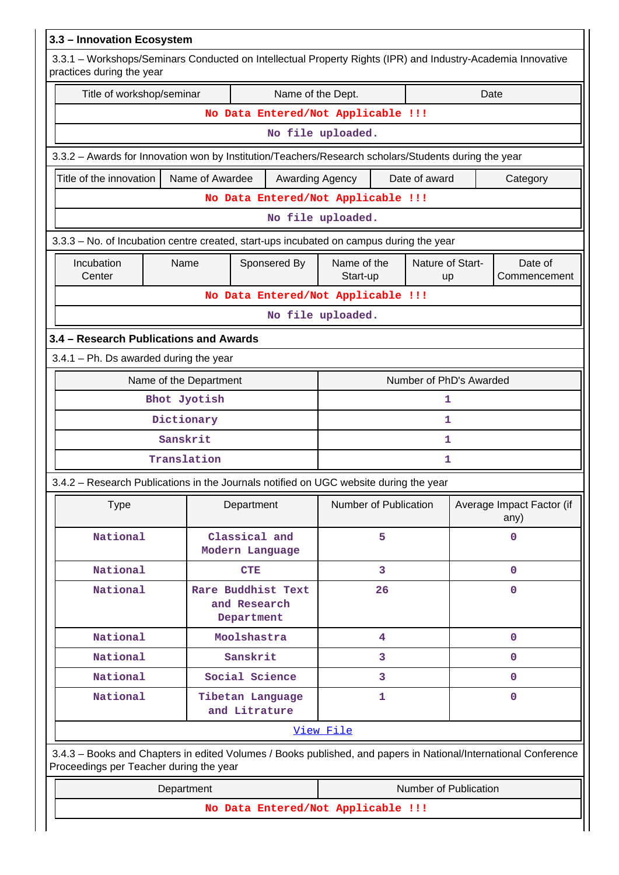| 3.3 - Innovation Ecosystem                                                                                                               |                                                                                                                 |                       |                         |                                   |  |  |  |  |  |
|------------------------------------------------------------------------------------------------------------------------------------------|-----------------------------------------------------------------------------------------------------------------|-----------------------|-------------------------|-----------------------------------|--|--|--|--|--|
| 3.3.1 - Workshops/Seminars Conducted on Intellectual Property Rights (IPR) and Industry-Academia Innovative<br>practices during the year |                                                                                                                 |                       |                         |                                   |  |  |  |  |  |
| Title of workshop/seminar<br>Name of the Dept.<br>Date                                                                                   |                                                                                                                 |                       |                         |                                   |  |  |  |  |  |
|                                                                                                                                          | No Data Entered/Not Applicable !!!                                                                              |                       |                         |                                   |  |  |  |  |  |
|                                                                                                                                          |                                                                                                                 | No file uploaded.     |                         |                                   |  |  |  |  |  |
| 3.3.2 - Awards for Innovation won by Institution/Teachers/Research scholars/Students during the year                                     |                                                                                                                 |                       |                         |                                   |  |  |  |  |  |
| Title of the innovation                                                                                                                  | Name of Awardee<br>Awarding Agency                                                                              |                       | Date of award           | Category                          |  |  |  |  |  |
| No Data Entered/Not Applicable !!!                                                                                                       |                                                                                                                 |                       |                         |                                   |  |  |  |  |  |
| No file uploaded.                                                                                                                        |                                                                                                                 |                       |                         |                                   |  |  |  |  |  |
| 3.3.3 - No. of Incubation centre created, start-ups incubated on campus during the year                                                  |                                                                                                                 |                       |                         |                                   |  |  |  |  |  |
| Incubation<br>Name<br>Sponsered By<br>Name of the<br>Nature of Start-<br>Date of<br>Center<br>Start-up<br>Commencement<br>up             |                                                                                                                 |                       |                         |                                   |  |  |  |  |  |
|                                                                                                                                          | No Data Entered/Not Applicable !!!                                                                              |                       |                         |                                   |  |  |  |  |  |
|                                                                                                                                          |                                                                                                                 | No file uploaded.     |                         |                                   |  |  |  |  |  |
| 3.4 - Research Publications and Awards                                                                                                   |                                                                                                                 |                       |                         |                                   |  |  |  |  |  |
| $3.4.1$ – Ph. Ds awarded during the year                                                                                                 |                                                                                                                 |                       |                         |                                   |  |  |  |  |  |
|                                                                                                                                          | Name of the Department                                                                                          |                       | Number of PhD's Awarded |                                   |  |  |  |  |  |
|                                                                                                                                          | Bhot Jyotish                                                                                                    |                       | 1                       |                                   |  |  |  |  |  |
|                                                                                                                                          | Dictionary                                                                                                      |                       | 1                       |                                   |  |  |  |  |  |
|                                                                                                                                          | Sanskrit                                                                                                        |                       | 1                       |                                   |  |  |  |  |  |
|                                                                                                                                          | Translation                                                                                                     |                       | 1                       |                                   |  |  |  |  |  |
|                                                                                                                                          | 3.4.2 - Research Publications in the Journals notified on UGC website during the year                           |                       |                         |                                   |  |  |  |  |  |
| <b>Type</b>                                                                                                                              | Department                                                                                                      | Number of Publication |                         | Average Impact Factor (if<br>any) |  |  |  |  |  |
| National                                                                                                                                 | Classical and<br>Modern Language                                                                                | 5                     |                         | $\mathbf 0$                       |  |  |  |  |  |
| National                                                                                                                                 | <b>CTE</b>                                                                                                      | 3                     |                         | $\mathbf 0$                       |  |  |  |  |  |
| National                                                                                                                                 | Rare Buddhist Text<br>and Research<br>Department                                                                | 26                    |                         | $\mathbf 0$                       |  |  |  |  |  |
| National                                                                                                                                 | Moolshastra                                                                                                     | $\overline{4}$        |                         | $\mathbf{O}$                      |  |  |  |  |  |
| National                                                                                                                                 | Sanskrit                                                                                                        | 3                     |                         | $\mathbf{0}$                      |  |  |  |  |  |
| National                                                                                                                                 | Social Science                                                                                                  | 3                     |                         | $\mathbf{0}$                      |  |  |  |  |  |
| National                                                                                                                                 | Tibetan Language<br>and Litrature                                                                               | 1                     |                         | $\mathbf 0$                       |  |  |  |  |  |
|                                                                                                                                          |                                                                                                                 | View File             |                         |                                   |  |  |  |  |  |
| Proceedings per Teacher during the year                                                                                                  | 3.4.3 - Books and Chapters in edited Volumes / Books published, and papers in National/International Conference |                       |                         |                                   |  |  |  |  |  |
|                                                                                                                                          | Department                                                                                                      |                       | Number of Publication   |                                   |  |  |  |  |  |
|                                                                                                                                          | No Data Entered/Not Applicable !!!                                                                              |                       |                         |                                   |  |  |  |  |  |
|                                                                                                                                          |                                                                                                                 |                       |                         |                                   |  |  |  |  |  |

Н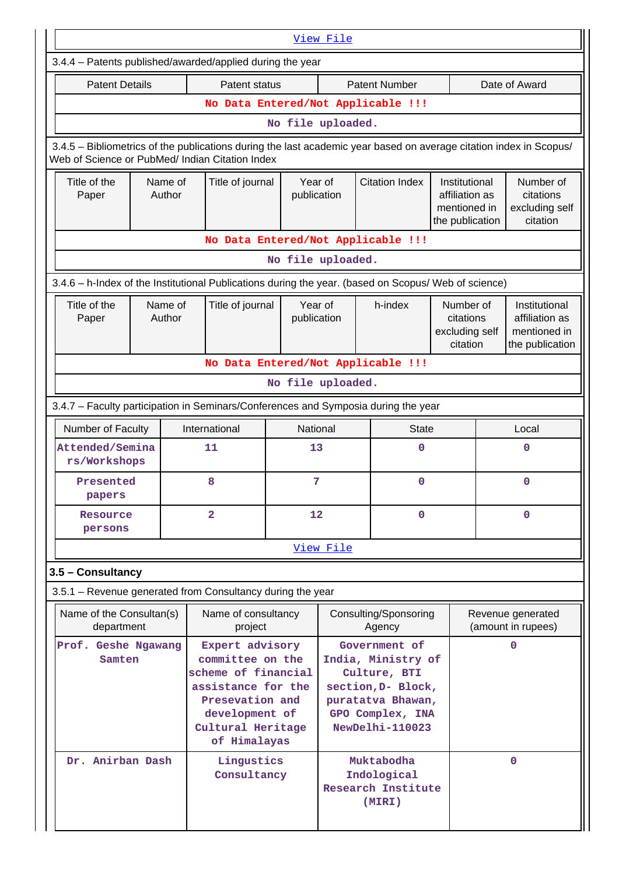|                                                                                                                                                                       | View File                          |                                       |                                                                                                                                                            |                        |                                                                                                                                       |                                                           |                                                      |                                                                                                                            |                                                                    |  |  |
|-----------------------------------------------------------------------------------------------------------------------------------------------------------------------|------------------------------------|---------------------------------------|------------------------------------------------------------------------------------------------------------------------------------------------------------|------------------------|---------------------------------------------------------------------------------------------------------------------------------------|-----------------------------------------------------------|------------------------------------------------------|----------------------------------------------------------------------------------------------------------------------------|--------------------------------------------------------------------|--|--|
| 3.4.4 - Patents published/awarded/applied during the year                                                                                                             |                                    |                                       |                                                                                                                                                            |                        |                                                                                                                                       |                                                           |                                                      |                                                                                                                            |                                                                    |  |  |
| <b>Patent Details</b>                                                                                                                                                 |                                    |                                       | Patent status                                                                                                                                              |                        |                                                                                                                                       | <b>Patent Number</b>                                      |                                                      |                                                                                                                            | Date of Award                                                      |  |  |
|                                                                                                                                                                       |                                    |                                       |                                                                                                                                                            |                        |                                                                                                                                       | No Data Entered/Not Applicable !!!                        |                                                      |                                                                                                                            |                                                                    |  |  |
|                                                                                                                                                                       | No file uploaded.                  |                                       |                                                                                                                                                            |                        |                                                                                                                                       |                                                           |                                                      |                                                                                                                            |                                                                    |  |  |
| 3.4.5 - Bibliometrics of the publications during the last academic year based on average citation index in Scopus/<br>Web of Science or PubMed/ Indian Citation Index |                                    |                                       |                                                                                                                                                            |                        |                                                                                                                                       |                                                           |                                                      |                                                                                                                            |                                                                    |  |  |
| Title of the<br>Paper                                                                                                                                                 |                                    | Name of<br>Title of journal<br>Author |                                                                                                                                                            | Year of<br>publication |                                                                                                                                       | <b>Citation Index</b>                                     |                                                      | Number of<br>Institutional<br>affiliation as<br>citations<br>excluding self<br>mentioned in<br>citation<br>the publication |                                                                    |  |  |
|                                                                                                                                                                       | No Data Entered/Not Applicable !!! |                                       |                                                                                                                                                            |                        |                                                                                                                                       |                                                           |                                                      |                                                                                                                            |                                                                    |  |  |
| No file uploaded.                                                                                                                                                     |                                    |                                       |                                                                                                                                                            |                        |                                                                                                                                       |                                                           |                                                      |                                                                                                                            |                                                                    |  |  |
| 3.4.6 - h-Index of the Institutional Publications during the year. (based on Scopus/ Web of science)                                                                  |                                    |                                       |                                                                                                                                                            |                        |                                                                                                                                       |                                                           |                                                      |                                                                                                                            |                                                                    |  |  |
| Title of the<br>Paper                                                                                                                                                 | Name of<br>Author                  |                                       | Title of journal                                                                                                                                           |                        | Year of<br>publication                                                                                                                | h-index                                                   | Number of<br>citations<br>excluding self<br>citation |                                                                                                                            | Institutional<br>affiliation as<br>mentioned in<br>the publication |  |  |
| No Data Entered/Not Applicable !!!                                                                                                                                    |                                    |                                       |                                                                                                                                                            |                        |                                                                                                                                       |                                                           |                                                      |                                                                                                                            |                                                                    |  |  |
|                                                                                                                                                                       | No file uploaded.                  |                                       |                                                                                                                                                            |                        |                                                                                                                                       |                                                           |                                                      |                                                                                                                            |                                                                    |  |  |
| 3.4.7 - Faculty participation in Seminars/Conferences and Symposia during the year                                                                                    |                                    |                                       |                                                                                                                                                            |                        |                                                                                                                                       |                                                           |                                                      |                                                                                                                            |                                                                    |  |  |
| Number of Faculty                                                                                                                                                     |                                    |                                       | International                                                                                                                                              |                        | National                                                                                                                              | <b>State</b>                                              |                                                      |                                                                                                                            | Local                                                              |  |  |
| Attended/Semina<br>rs/Workshops                                                                                                                                       |                                    |                                       | 11<br>13                                                                                                                                                   |                        |                                                                                                                                       | 0                                                         |                                                      | 0                                                                                                                          |                                                                    |  |  |
| Presented<br>papers                                                                                                                                                   |                                    |                                       | 8<br>7                                                                                                                                                     |                        | 0                                                                                                                                     |                                                           |                                                      |                                                                                                                            | 0                                                                  |  |  |
| Resource<br>persons                                                                                                                                                   |                                    |                                       | $\overline{2}$                                                                                                                                             |                        | 12<br>0                                                                                                                               |                                                           |                                                      | 0                                                                                                                          |                                                                    |  |  |
|                                                                                                                                                                       |                                    |                                       |                                                                                                                                                            |                        | View File                                                                                                                             |                                                           |                                                      |                                                                                                                            |                                                                    |  |  |
| 3.5 - Consultancy                                                                                                                                                     |                                    |                                       |                                                                                                                                                            |                        |                                                                                                                                       |                                                           |                                                      |                                                                                                                            |                                                                    |  |  |
| 3.5.1 - Revenue generated from Consultancy during the year                                                                                                            |                                    |                                       |                                                                                                                                                            |                        |                                                                                                                                       |                                                           |                                                      |                                                                                                                            |                                                                    |  |  |
| Name of the Consultan(s)<br>department                                                                                                                                |                                    |                                       | Name of consultancy<br>project                                                                                                                             |                        |                                                                                                                                       | Consulting/Sponsoring<br>Agency                           |                                                      |                                                                                                                            | Revenue generated<br>(amount in rupees)                            |  |  |
| Prof. Geshe Ngawang<br>Samten                                                                                                                                         |                                    |                                       | Expert advisory<br>committee on the<br>scheme of financial<br>assistance for the<br>Presevation and<br>development of<br>Cultural Heritage<br>of Himalayas |                        | Government of<br>India, Ministry of<br>Culture, BTI<br>section, D- Block,<br>puratatva Bhawan,<br>GPO Complex, INA<br>NewDelhi-110023 |                                                           |                                                      | $\Omega$                                                                                                                   |                                                                    |  |  |
| Dr. Anirban Dash                                                                                                                                                      |                                    |                                       | Lingustics<br>Consultancy                                                                                                                                  |                        |                                                                                                                                       | Muktabodha<br>Indological<br>Research Institute<br>(MIRI) |                                                      |                                                                                                                            | $\mathbf{O}$                                                       |  |  |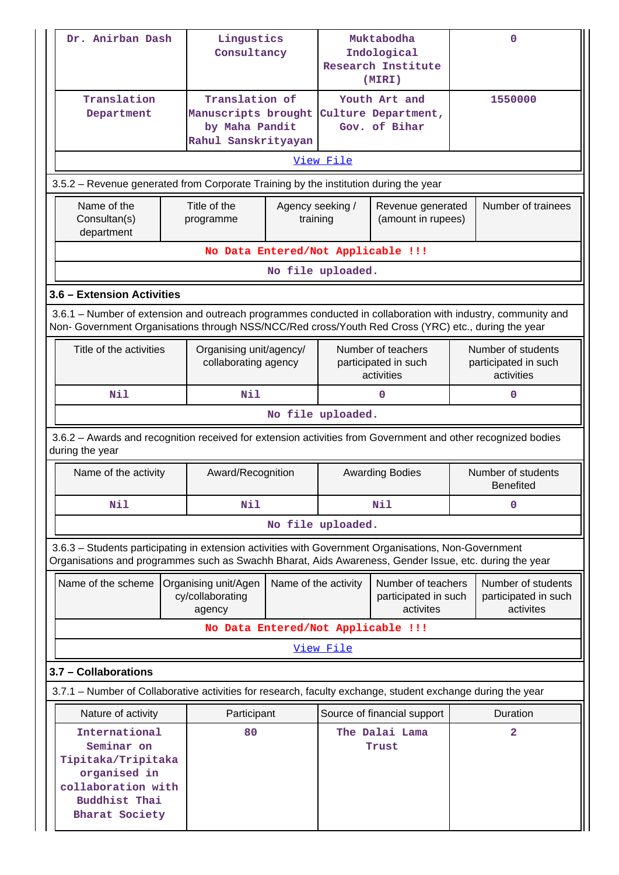| Dr. Anirban Dash                                                                                                                                                                                               | Lingustics<br>Consultancy                                                                                                                                                                                          |                                                 | Muktabodha<br>Indological<br>Research Institute<br>(MIRI) |                                                          | $\Omega$           |                                                          |  |  |  |
|----------------------------------------------------------------------------------------------------------------------------------------------------------------------------------------------------------------|--------------------------------------------------------------------------------------------------------------------------------------------------------------------------------------------------------------------|-------------------------------------------------|-----------------------------------------------------------|----------------------------------------------------------|--------------------|----------------------------------------------------------|--|--|--|
| Translation<br>Department                                                                                                                                                                                      | Translation of<br>Manuscripts brought<br>by Maha Pandit<br>Rahul Sanskrityayan                                                                                                                                     |                                                 |                                                           | Youth Art and<br>Culture Department,<br>Gov. of Bihar    |                    | 1550000                                                  |  |  |  |
|                                                                                                                                                                                                                |                                                                                                                                                                                                                    |                                                 | View File                                                 |                                                          |                    |                                                          |  |  |  |
| 3.5.2 – Revenue generated from Corporate Training by the institution during the year                                                                                                                           |                                                                                                                                                                                                                    |                                                 |                                                           |                                                          |                    |                                                          |  |  |  |
| Name of the<br>Consultan(s)<br>department                                                                                                                                                                      | Title of the<br>Agency seeking /<br>training<br>programme                                                                                                                                                          |                                                 |                                                           | Revenue generated<br>(amount in rupees)                  | Number of trainees |                                                          |  |  |  |
|                                                                                                                                                                                                                | No Data Entered/Not Applicable !!!                                                                                                                                                                                 |                                                 |                                                           |                                                          |                    |                                                          |  |  |  |
|                                                                                                                                                                                                                | No file uploaded.                                                                                                                                                                                                  |                                                 |                                                           |                                                          |                    |                                                          |  |  |  |
| 3.6 - Extension Activities                                                                                                                                                                                     |                                                                                                                                                                                                                    |                                                 |                                                           |                                                          |                    |                                                          |  |  |  |
|                                                                                                                                                                                                                | 3.6.1 – Number of extension and outreach programmes conducted in collaboration with industry, community and<br>Non- Government Organisations through NSS/NCC/Red cross/Youth Red Cross (YRC) etc., during the year |                                                 |                                                           |                                                          |                    |                                                          |  |  |  |
| Title of the activities                                                                                                                                                                                        |                                                                                                                                                                                                                    | Organising unit/agency/<br>collaborating agency |                                                           | Number of teachers<br>participated in such<br>activities |                    | Number of students<br>participated in such<br>activities |  |  |  |
| Nil                                                                                                                                                                                                            | Nil                                                                                                                                                                                                                |                                                 |                                                           | $\Omega$                                                 |                    | 0                                                        |  |  |  |
|                                                                                                                                                                                                                |                                                                                                                                                                                                                    |                                                 | No file uploaded.                                         |                                                          |                    |                                                          |  |  |  |
| 3.6.2 - Awards and recognition received for extension activities from Government and other recognized bodies<br>during the year                                                                                |                                                                                                                                                                                                                    |                                                 |                                                           |                                                          |                    |                                                          |  |  |  |
| Name of the activity                                                                                                                                                                                           |                                                                                                                                                                                                                    | Award/Recognition                               |                                                           | <b>Awarding Bodies</b>                                   |                    | Number of students<br><b>Benefited</b>                   |  |  |  |
| Nil                                                                                                                                                                                                            | Nil                                                                                                                                                                                                                |                                                 |                                                           | Nil                                                      |                    | 0                                                        |  |  |  |
|                                                                                                                                                                                                                |                                                                                                                                                                                                                    |                                                 | No file uploaded.                                         |                                                          |                    |                                                          |  |  |  |
| 3.6.3 - Students participating in extension activities with Government Organisations, Non-Government<br>Organisations and programmes such as Swachh Bharat, Aids Awareness, Gender Issue, etc. during the year |                                                                                                                                                                                                                    |                                                 |                                                           |                                                          |                    |                                                          |  |  |  |
| Name of the scheme                                                                                                                                                                                             | Organising unit/Agen<br>cy/collaborating<br>agency                                                                                                                                                                 | Name of the activity                            |                                                           | Number of teachers<br>participated in such<br>activites  |                    | Number of students<br>participated in such<br>activites  |  |  |  |
|                                                                                                                                                                                                                | No Data Entered/Not Applicable !!!                                                                                                                                                                                 |                                                 |                                                           |                                                          |                    |                                                          |  |  |  |
|                                                                                                                                                                                                                |                                                                                                                                                                                                                    |                                                 | <u>View File</u>                                          |                                                          |                    |                                                          |  |  |  |
| 3.7 - Collaborations                                                                                                                                                                                           |                                                                                                                                                                                                                    |                                                 |                                                           |                                                          |                    |                                                          |  |  |  |
| 3.7.1 – Number of Collaborative activities for research, faculty exchange, student exchange during the year                                                                                                    |                                                                                                                                                                                                                    |                                                 |                                                           |                                                          |                    |                                                          |  |  |  |
| Nature of activity                                                                                                                                                                                             | Participant                                                                                                                                                                                                        |                                                 |                                                           | Source of financial support                              |                    | Duration                                                 |  |  |  |
| International<br>Seminar on<br>Tipitaka/Tripitaka<br>organised in<br>collaboration with<br>Buddhist Thai<br><b>Bharat Society</b>                                                                              |                                                                                                                                                                                                                    |                                                 | The Dalai Lama<br>Trust                                   |                                                          | $\overline{a}$     |                                                          |  |  |  |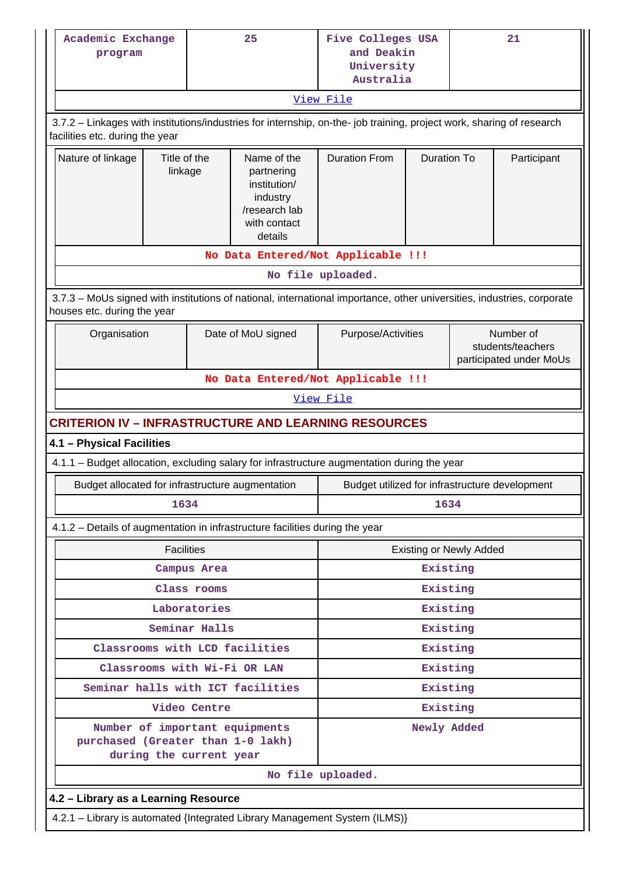|                                                                                                                                                       | 25<br>Academic Exchange<br>program                                                                                                                       |               |                                                                                                   | Five Colleges USA<br>and Deakin<br>University<br>Australia |                         |                                | 21                                                        |  |  |  |  |
|-------------------------------------------------------------------------------------------------------------------------------------------------------|----------------------------------------------------------------------------------------------------------------------------------------------------------|---------------|---------------------------------------------------------------------------------------------------|------------------------------------------------------------|-------------------------|--------------------------------|-----------------------------------------------------------|--|--|--|--|
| <u>View File</u>                                                                                                                                      |                                                                                                                                                          |               |                                                                                                   |                                                            |                         |                                |                                                           |  |  |  |  |
|                                                                                                                                                       | 3.7.2 - Linkages with institutions/industries for internship, on-the- job training, project work, sharing of research<br>facilities etc. during the year |               |                                                                                                   |                                                            |                         |                                |                                                           |  |  |  |  |
| Nature of linkage                                                                                                                                     | Title of the<br>linkage                                                                                                                                  |               | Name of the<br>partnering<br>institution/<br>industry<br>/research lab<br>with contact<br>details | <b>Duration From</b><br><b>Duration To</b>                 |                         | Participant                    |                                                           |  |  |  |  |
| No Data Entered/Not Applicable !!!                                                                                                                    |                                                                                                                                                          |               |                                                                                                   |                                                            |                         |                                |                                                           |  |  |  |  |
|                                                                                                                                                       |                                                                                                                                                          |               |                                                                                                   | No file uploaded.                                          |                         |                                |                                                           |  |  |  |  |
| 3.7.3 – MoUs signed with institutions of national, international importance, other universities, industries, corporate<br>houses etc. during the year |                                                                                                                                                          |               |                                                                                                   |                                                            |                         |                                |                                                           |  |  |  |  |
| Organisation                                                                                                                                          |                                                                                                                                                          |               | Date of MoU signed                                                                                | Purpose/Activities                                         |                         |                                | Number of<br>students/teachers<br>participated under MoUs |  |  |  |  |
|                                                                                                                                                       |                                                                                                                                                          |               |                                                                                                   | No Data Entered/Not Applicable !!!                         |                         |                                |                                                           |  |  |  |  |
|                                                                                                                                                       |                                                                                                                                                          |               |                                                                                                   | View File                                                  |                         |                                |                                                           |  |  |  |  |
| <b>CRITERION IV - INFRASTRUCTURE AND LEARNING RESOURCES</b>                                                                                           |                                                                                                                                                          |               |                                                                                                   |                                                            |                         |                                |                                                           |  |  |  |  |
| 4.1 - Physical Facilities                                                                                                                             |                                                                                                                                                          |               |                                                                                                   |                                                            |                         |                                |                                                           |  |  |  |  |
| 4.1.1 - Budget allocation, excluding salary for infrastructure augmentation during the year                                                           |                                                                                                                                                          |               |                                                                                                   |                                                            |                         |                                |                                                           |  |  |  |  |
| Budget allocated for infrastructure augmentation                                                                                                      |                                                                                                                                                          |               |                                                                                                   | Budget utilized for infrastructure development             |                         |                                |                                                           |  |  |  |  |
|                                                                                                                                                       | 1634                                                                                                                                                     |               |                                                                                                   |                                                            | 1634                    |                                |                                                           |  |  |  |  |
| 4.1.2 – Details of augmentation in infrastructure facilities during the year                                                                          |                                                                                                                                                          |               |                                                                                                   |                                                            |                         |                                |                                                           |  |  |  |  |
|                                                                                                                                                       | <b>Facilities</b>                                                                                                                                        |               |                                                                                                   |                                                            |                         | <b>Existing or Newly Added</b> |                                                           |  |  |  |  |
|                                                                                                                                                       |                                                                                                                                                          | Campus Area   |                                                                                                   | Existing                                                   |                         |                                |                                                           |  |  |  |  |
|                                                                                                                                                       |                                                                                                                                                          | Class rooms   |                                                                                                   |                                                            | Existing                |                                |                                                           |  |  |  |  |
|                                                                                                                                                       |                                                                                                                                                          | Laboratories  |                                                                                                   |                                                            | Existing                |                                |                                                           |  |  |  |  |
|                                                                                                                                                       |                                                                                                                                                          | Seminar Halls |                                                                                                   |                                                            | Existing                |                                |                                                           |  |  |  |  |
|                                                                                                                                                       |                                                                                                                                                          |               | Classrooms with LCD facilities                                                                    |                                                            | Existing                |                                |                                                           |  |  |  |  |
|                                                                                                                                                       |                                                                                                                                                          |               | Classrooms with Wi-Fi OR LAN                                                                      |                                                            | Existing                |                                |                                                           |  |  |  |  |
|                                                                                                                                                       |                                                                                                                                                          |               | Seminar halls with ICT facilities                                                                 |                                                            | Existing                |                                |                                                           |  |  |  |  |
| purchased (Greater than 1-0 lakh)                                                                                                                     | during the current year                                                                                                                                  | Video Centre  | Number of important equipments                                                                    |                                                            | Existing<br>Newly Added |                                |                                                           |  |  |  |  |
|                                                                                                                                                       |                                                                                                                                                          |               |                                                                                                   | No file uploaded.                                          |                         |                                |                                                           |  |  |  |  |
| 4.2 - Library as a Learning Resource                                                                                                                  |                                                                                                                                                          |               |                                                                                                   |                                                            |                         |                                |                                                           |  |  |  |  |
| 4.2.1 - Library is automated {Integrated Library Management System (ILMS)}                                                                            |                                                                                                                                                          |               |                                                                                                   |                                                            |                         |                                |                                                           |  |  |  |  |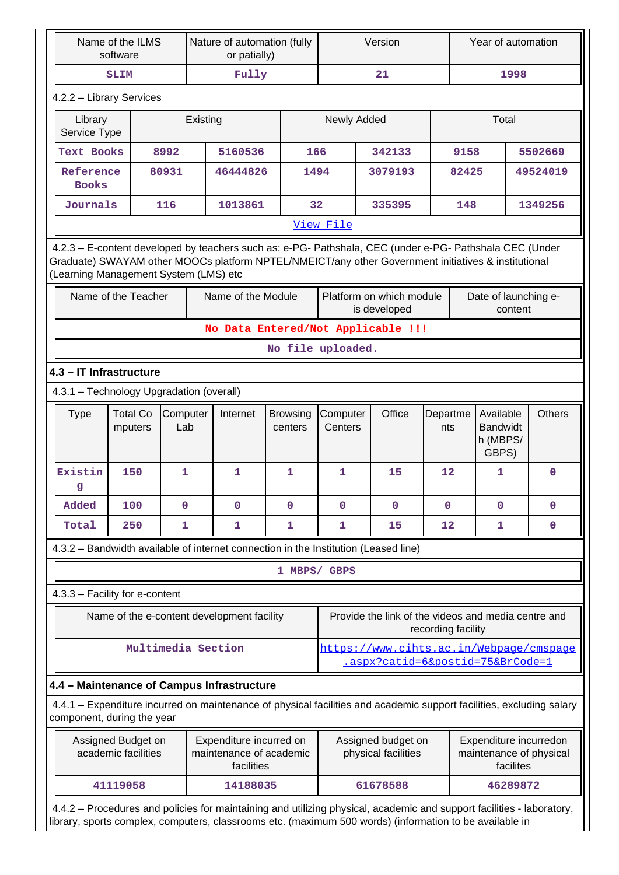| Name of the ILMS<br>software |                                                                                                                                                                                                                                                         |                                                                                                                                                    |                 |  | Nature of automation (fully<br>or patially)                      |                            | Version              |  |                                                                             |                    | Year of automation |                                                   |           |                                                   |
|------------------------------|---------------------------------------------------------------------------------------------------------------------------------------------------------------------------------------------------------------------------------------------------------|----------------------------------------------------------------------------------------------------------------------------------------------------|-----------------|--|------------------------------------------------------------------|----------------------------|----------------------|--|-----------------------------------------------------------------------------|--------------------|--------------------|---------------------------------------------------|-----------|---------------------------------------------------|
| SLIM                         |                                                                                                                                                                                                                                                         |                                                                                                                                                    |                 |  | Fully                                                            |                            |                      |  | 21                                                                          |                    |                    |                                                   | 1998      |                                                   |
|                              | 4.2.2 - Library Services                                                                                                                                                                                                                                |                                                                                                                                                    |                 |  |                                                                  |                            |                      |  |                                                                             |                    |                    |                                                   |           |                                                   |
|                              | Library<br>Existing<br>Service Type                                                                                                                                                                                                                     |                                                                                                                                                    |                 |  |                                                                  |                            | Newly Added<br>Total |  |                                                                             |                    |                    |                                                   |           |                                                   |
|                              | <b>Text Books</b>                                                                                                                                                                                                                                       |                                                                                                                                                    | 8992            |  | 5160536                                                          | 166                        |                      |  | 342133                                                                      |                    | 9158               |                                                   |           | 5502669                                           |
|                              |                                                                                                                                                                                                                                                         | Reference<br>80931<br><b>Books</b>                                                                                                                 |                 |  | 46444826                                                         |                            | 1494                 |  | 3079193                                                                     |                    | 82425              |                                                   |           | 49524019                                          |
|                              | Journals                                                                                                                                                                                                                                                |                                                                                                                                                    | 116             |  | 1013861                                                          | 32                         |                      |  | 335395                                                                      |                    | 148<br>1349256     |                                                   |           |                                                   |
|                              | View File                                                                                                                                                                                                                                               |                                                                                                                                                    |                 |  |                                                                  |                            |                      |  |                                                                             |                    |                    |                                                   |           |                                                   |
|                              | 4.2.3 - E-content developed by teachers such as: e-PG- Pathshala, CEC (under e-PG- Pathshala CEC (Under<br>Graduate) SWAYAM other MOOCs platform NPTEL/NMEICT/any other Government initiatives & institutional<br>(Learning Management System (LMS) etc |                                                                                                                                                    |                 |  |                                                                  |                            |                      |  |                                                                             |                    |                    |                                                   |           |                                                   |
|                              |                                                                                                                                                                                                                                                         | Name of the Teacher                                                                                                                                |                 |  | Name of the Module                                               |                            |                      |  | Platform on which module<br>is developed                                    |                    |                    | Date of launching e-                              | content   |                                                   |
|                              |                                                                                                                                                                                                                                                         |                                                                                                                                                    |                 |  | No Data Entered/Not Applicable !!!                               |                            |                      |  |                                                                             |                    |                    |                                                   |           |                                                   |
|                              |                                                                                                                                                                                                                                                         |                                                                                                                                                    |                 |  |                                                                  | No file uploaded.          |                      |  |                                                                             |                    |                    |                                                   |           |                                                   |
|                              | 4.3 - IT Infrastructure                                                                                                                                                                                                                                 |                                                                                                                                                    |                 |  |                                                                  |                            |                      |  |                                                                             |                    |                    |                                                   |           |                                                   |
|                              | 4.3.1 - Technology Upgradation (overall)                                                                                                                                                                                                                |                                                                                                                                                    |                 |  |                                                                  |                            |                      |  |                                                                             |                    |                    |                                                   |           |                                                   |
|                              | <b>Type</b>                                                                                                                                                                                                                                             | <b>Total Co</b><br>mputers                                                                                                                         | Computer<br>Lab |  | Internet                                                         | <b>Browsing</b><br>centers | Computer<br>Centers  |  | Office                                                                      | Departme<br>nts    |                    | Available<br><b>Bandwidt</b><br>h (MBPS/<br>GBPS) |           | <b>Others</b>                                     |
|                              | Existin<br>g                                                                                                                                                                                                                                            | 150                                                                                                                                                | $\mathbf{1}$    |  | $\mathbf{1}$                                                     | $\mathbf{1}$               | $\mathbf{1}$         |  | 15                                                                          | 12                 |                    | $\mathbf{1}$                                      |           | $\Omega$                                          |
|                              | Added                                                                                                                                                                                                                                                   | 100                                                                                                                                                | $\Omega$        |  | $\mathbf{O}$                                                     | $\mathbf 0$                | 0                    |  | $\mathbf 0$                                                                 | $\mathbf 0$        |                    | 0                                                 |           | $\mathbf 0$                                       |
|                              | Total                                                                                                                                                                                                                                                   | 250                                                                                                                                                | $\mathbf{1}$    |  | $\mathbf{1}$                                                     | 1                          | $\mathbf{1}$         |  | 15                                                                          | 12                 |                    | 1                                                 |           | $\mathbf 0$                                       |
|                              |                                                                                                                                                                                                                                                         | 4.3.2 - Bandwidth available of internet connection in the Institution (Leased line)                                                                |                 |  |                                                                  |                            |                      |  |                                                                             |                    |                    |                                                   |           |                                                   |
|                              |                                                                                                                                                                                                                                                         |                                                                                                                                                    |                 |  |                                                                  | 1 MBPS/ GBPS               |                      |  |                                                                             |                    |                    |                                                   |           |                                                   |
|                              |                                                                                                                                                                                                                                                         | 4.3.3 - Facility for e-content                                                                                                                     |                 |  |                                                                  |                            |                      |  |                                                                             |                    |                    |                                                   |           |                                                   |
|                              |                                                                                                                                                                                                                                                         | Name of the e-content development facility                                                                                                         |                 |  |                                                                  |                            |                      |  | Provide the link of the videos and media centre and                         | recording facility |                    |                                                   |           |                                                   |
|                              |                                                                                                                                                                                                                                                         | Multimedia Section                                                                                                                                 |                 |  |                                                                  |                            |                      |  | https://www.cihts.ac.in/Webpage/cmspage<br>.aspx?catid=6&postid=75&BrCode=1 |                    |                    |                                                   |           |                                                   |
|                              |                                                                                                                                                                                                                                                         | 4.4 - Maintenance of Campus Infrastructure                                                                                                         |                 |  |                                                                  |                            |                      |  |                                                                             |                    |                    |                                                   |           |                                                   |
|                              |                                                                                                                                                                                                                                                         | 4.4.1 – Expenditure incurred on maintenance of physical facilities and academic support facilities, excluding salary<br>component, during the year |                 |  |                                                                  |                            |                      |  |                                                                             |                    |                    |                                                   |           |                                                   |
|                              |                                                                                                                                                                                                                                                         | Assigned Budget on<br>academic facilities                                                                                                          |                 |  | Expenditure incurred on<br>maintenance of academic<br>facilities |                            |                      |  | Assigned budget on<br>physical facilities                                   |                    |                    |                                                   | facilites | Expenditure incurredon<br>maintenance of physical |
|                              |                                                                                                                                                                                                                                                         | 41119058                                                                                                                                           |                 |  | 14188035                                                         |                            |                      |  | 61678588                                                                    |                    |                    | 46289872                                          |           |                                                   |
|                              |                                                                                                                                                                                                                                                         | 4.4.2 - Procedures and policies for maintaining and utilizing physical, academic and support facilities - laboratory,                              |                 |  |                                                                  |                            |                      |  |                                                                             |                    |                    |                                                   |           |                                                   |

library, sports complex, computers, classrooms etc. (maximum 500 words) (information to be available in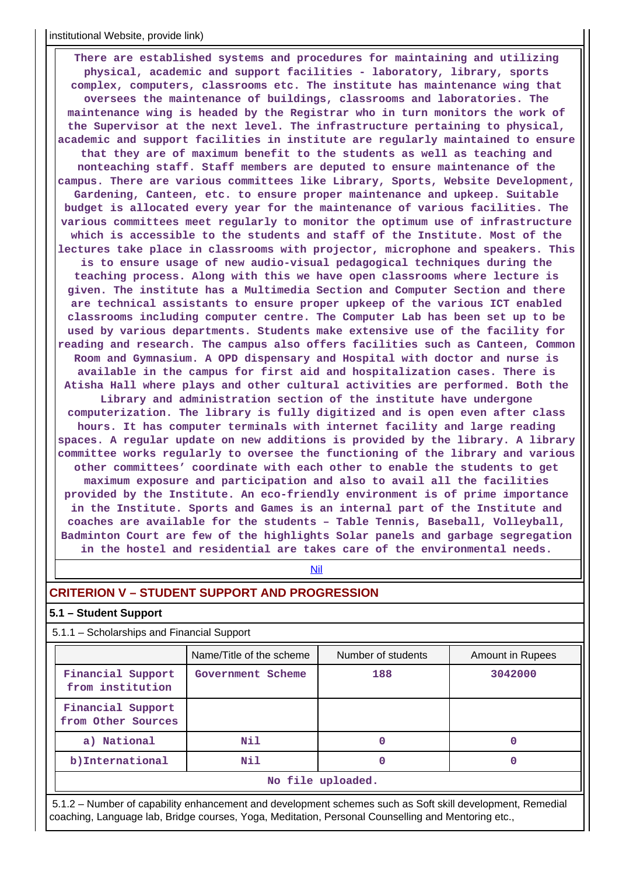#### institutional Website, provide link)

 **There are established systems and procedures for maintaining and utilizing physical, academic and support facilities - laboratory, library, sports complex, computers, classrooms etc. The institute has maintenance wing that oversees the maintenance of buildings, classrooms and laboratories. The maintenance wing is headed by the Registrar who in turn monitors the work of the Supervisor at the next level. The infrastructure pertaining to physical, academic and support facilities in institute are regularly maintained to ensure that they are of maximum benefit to the students as well as teaching and nonteaching staff. Staff members are deputed to ensure maintenance of the campus. There are various committees like Library, Sports, Website Development, Gardening, Canteen, etc. to ensure proper maintenance and upkeep. Suitable budget is allocated every year for the maintenance of various facilities. The various committees meet regularly to monitor the optimum use of infrastructure which is accessible to the students and staff of the Institute. Most of the lectures take place in classrooms with projector, microphone and speakers. This is to ensure usage of new audio-visual pedagogical techniques during the teaching process. Along with this we have open classrooms where lecture is given. The institute has a Multimedia Section and Computer Section and there are technical assistants to ensure proper upkeep of the various ICT enabled classrooms including computer centre. The Computer Lab has been set up to be used by various departments. Students make extensive use of the facility for reading and research. The campus also offers facilities such as Canteen, Common Room and Gymnasium. A OPD dispensary and Hospital with doctor and nurse is available in the campus for first aid and hospitalization cases. There is Atisha Hall where plays and other cultural activities are performed. Both the Library and administration section of the institute have undergone computerization. The library is fully digitized and is open even after class hours. It has computer terminals with internet facility and large reading spaces. A regular update on new additions is provided by the library. A library committee works regularly to oversee the functioning of the library and various other committees' coordinate with each other to enable the students to get maximum exposure and participation and also to avail all the facilities provided by the Institute. An eco-friendly environment is of prime importance in the Institute. Sports and Games is an internal part of the Institute and coaches are available for the students – Table Tennis, Baseball, Volleyball, Badminton Court are few of the highlights Solar panels and garbage segregation in the hostel and residential are takes care of the environmental needs.**

#### <Nil>

## **CRITERION V – STUDENT SUPPORT AND PROGRESSION**

## **5.1 – Student Support**

5.1.1 – Scholarships and Financial Support

|                                         | Name/Title of the scheme | Number of students | Amount in Rupees |  |  |  |  |  |
|-----------------------------------------|--------------------------|--------------------|------------------|--|--|--|--|--|
| Financial Support<br>from institution   | Government Scheme        | 188                | 3042000          |  |  |  |  |  |
| Financial Support<br>from Other Sources |                          |                    |                  |  |  |  |  |  |
| a) National                             | Nil                      |                    |                  |  |  |  |  |  |
| b) International                        | Nil                      | 0                  |                  |  |  |  |  |  |
| No file uploaded.                       |                          |                    |                  |  |  |  |  |  |

 5.1.2 – Number of capability enhancement and development schemes such as Soft skill development, Remedial coaching, Language lab, Bridge courses, Yoga, Meditation, Personal Counselling and Mentoring etc.,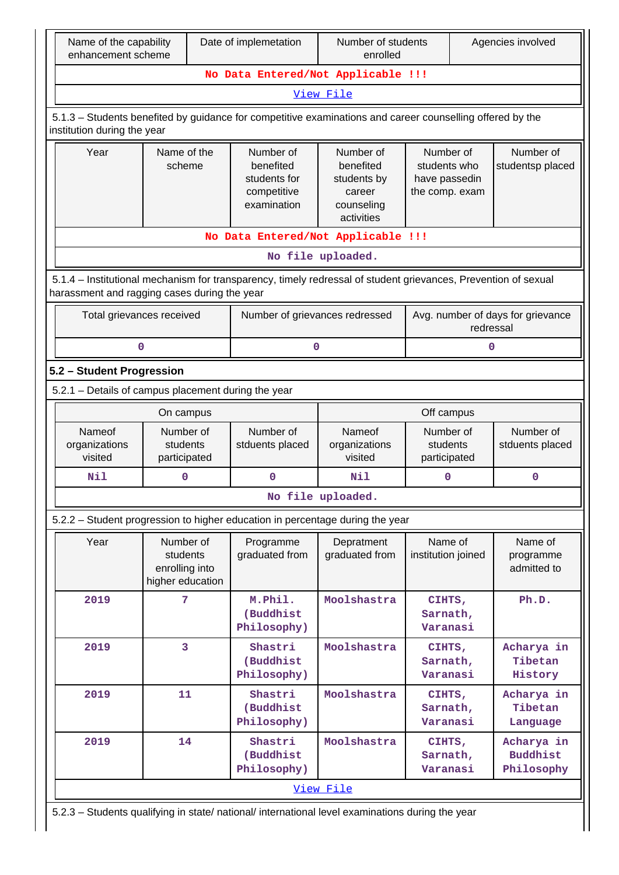| Name of the capability<br>enhancement scheme                                                                                             |                                                                                                                                                                | Date of implemetation                                                         | Number of students<br>enrolled                                              | Agencies involved                                            |                                                |  |  |  |  |  |  |  |
|------------------------------------------------------------------------------------------------------------------------------------------|----------------------------------------------------------------------------------------------------------------------------------------------------------------|-------------------------------------------------------------------------------|-----------------------------------------------------------------------------|--------------------------------------------------------------|------------------------------------------------|--|--|--|--|--|--|--|
|                                                                                                                                          | No Data Entered/Not Applicable !!!                                                                                                                             |                                                                               |                                                                             |                                                              |                                                |  |  |  |  |  |  |  |
| View File                                                                                                                                |                                                                                                                                                                |                                                                               |                                                                             |                                                              |                                                |  |  |  |  |  |  |  |
| 5.1.3 - Students benefited by guidance for competitive examinations and career counselling offered by the<br>institution during the year |                                                                                                                                                                |                                                                               |                                                                             |                                                              |                                                |  |  |  |  |  |  |  |
| Year                                                                                                                                     | Name of the<br>scheme                                                                                                                                          | Number of<br>benefited<br>students for<br>competitive<br>examination          | Number of<br>benefited<br>students by<br>career<br>counseling<br>activities | Number of<br>students who<br>have passedin<br>the comp. exam | Number of<br>studentsp placed                  |  |  |  |  |  |  |  |
| No Data Entered/Not Applicable !!!<br>No file uploaded.                                                                                  |                                                                                                                                                                |                                                                               |                                                                             |                                                              |                                                |  |  |  |  |  |  |  |
|                                                                                                                                          | 5.1.4 – Institutional mechanism for transparency, timely redressal of student grievances, Prevention of sexual<br>harassment and ragging cases during the year |                                                                               |                                                                             |                                                              |                                                |  |  |  |  |  |  |  |
| Total grievances received                                                                                                                |                                                                                                                                                                |                                                                               | Number of grievances redressed                                              |                                                              | Avg. number of days for grievance<br>redressal |  |  |  |  |  |  |  |
| 0                                                                                                                                        |                                                                                                                                                                |                                                                               | 0                                                                           | 0                                                            |                                                |  |  |  |  |  |  |  |
| 5.2 - Student Progression                                                                                                                |                                                                                                                                                                |                                                                               |                                                                             |                                                              |                                                |  |  |  |  |  |  |  |
|                                                                                                                                          | 5.2.1 - Details of campus placement during the year                                                                                                            |                                                                               |                                                                             |                                                              |                                                |  |  |  |  |  |  |  |
|                                                                                                                                          | On campus                                                                                                                                                      |                                                                               |                                                                             | Off campus                                                   |                                                |  |  |  |  |  |  |  |
| Nameof<br>organizations<br>visited                                                                                                       | Number of<br>students<br>participated                                                                                                                          | Number of<br>stduents placed                                                  | Nameof<br>organizations<br>visited                                          | Number of<br>students<br>participated                        | Number of<br>stduents placed                   |  |  |  |  |  |  |  |
| Nil                                                                                                                                      | 0                                                                                                                                                              | 0                                                                             | Nil                                                                         | $\mathbf 0$                                                  | 0                                              |  |  |  |  |  |  |  |
|                                                                                                                                          |                                                                                                                                                                |                                                                               | No file uploaded.                                                           |                                                              |                                                |  |  |  |  |  |  |  |
|                                                                                                                                          |                                                                                                                                                                | 5.2.2 - Student progression to higher education in percentage during the year |                                                                             |                                                              |                                                |  |  |  |  |  |  |  |
| Year                                                                                                                                     | Number of<br>students<br>enrolling into<br>higher education                                                                                                    | Programme<br>graduated from                                                   | Depratment<br>graduated from                                                | Name of<br>institution joined                                | Name of<br>programme<br>admitted to            |  |  |  |  |  |  |  |
| 2019                                                                                                                                     | 7                                                                                                                                                              | M.Phil.<br>(Buddhist<br>Philosophy)                                           | Moolshastra                                                                 | CIHTS,<br>Sarnath,<br>Varanasi                               | Ph.D.                                          |  |  |  |  |  |  |  |
| 2019                                                                                                                                     | 3                                                                                                                                                              | Shastri<br>(Buddhist<br>Philosophy)                                           | Moolshastra                                                                 | CIHTS,<br>Sarnath,<br>Varanasi                               | Acharya in<br>Tibetan<br>History               |  |  |  |  |  |  |  |
| 2019                                                                                                                                     | 11                                                                                                                                                             | Shastri<br>(Buddhist<br>Philosophy)                                           | Moolshastra                                                                 | CIHTS,<br>Sarnath,<br>Varanasi                               | Acharya in<br>Tibetan<br>Language              |  |  |  |  |  |  |  |
| 2019                                                                                                                                     | 14                                                                                                                                                             | Shastri<br>(Buddhist<br>Philosophy)                                           | Moolshastra                                                                 | CIHTS,<br>Sarnath,<br>Varanasi                               | Acharya in<br><b>Buddhist</b><br>Philosophy    |  |  |  |  |  |  |  |
|                                                                                                                                          |                                                                                                                                                                |                                                                               | View File                                                                   |                                                              |                                                |  |  |  |  |  |  |  |
| 5.2.3 - Students qualifying in state/ national/ international level examinations during the year                                         |                                                                                                                                                                |                                                                               |                                                                             |                                                              |                                                |  |  |  |  |  |  |  |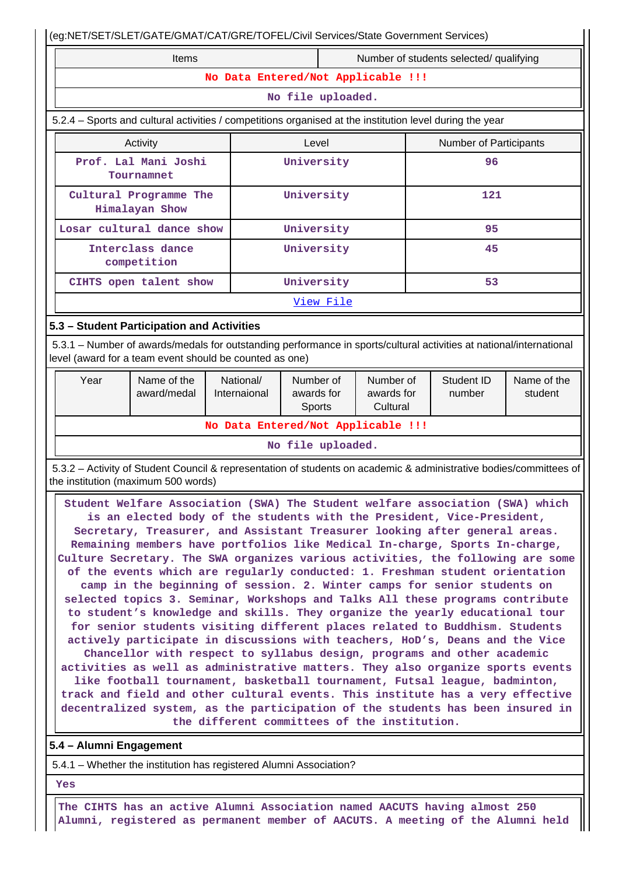|                                                                                                                                                                                                                                                                                                                                                                                                                                                                                                                                                                                                                                                                                                                                                                                                                                                                                                                                                                                                                                                                                                                                                                                                                                                                                                                                                                                                                                                                                                                                 | (eg:NET/SET/SLET/GATE/GMAT/CAT/GRE/TOFEL/Civil Services/State Government Services) |                           |  |                                    |                                     |  |                      |                        |  |  |  |  |
|---------------------------------------------------------------------------------------------------------------------------------------------------------------------------------------------------------------------------------------------------------------------------------------------------------------------------------------------------------------------------------------------------------------------------------------------------------------------------------------------------------------------------------------------------------------------------------------------------------------------------------------------------------------------------------------------------------------------------------------------------------------------------------------------------------------------------------------------------------------------------------------------------------------------------------------------------------------------------------------------------------------------------------------------------------------------------------------------------------------------------------------------------------------------------------------------------------------------------------------------------------------------------------------------------------------------------------------------------------------------------------------------------------------------------------------------------------------------------------------------------------------------------------|------------------------------------------------------------------------------------|---------------------------|--|------------------------------------|-------------------------------------|--|----------------------|------------------------|--|--|--|--|
| Items<br>Number of students selected/ qualifying                                                                                                                                                                                                                                                                                                                                                                                                                                                                                                                                                                                                                                                                                                                                                                                                                                                                                                                                                                                                                                                                                                                                                                                                                                                                                                                                                                                                                                                                                |                                                                                    |                           |  |                                    |                                     |  |                      |                        |  |  |  |  |
| No Data Entered/Not Applicable !!!                                                                                                                                                                                                                                                                                                                                                                                                                                                                                                                                                                                                                                                                                                                                                                                                                                                                                                                                                                                                                                                                                                                                                                                                                                                                                                                                                                                                                                                                                              |                                                                                    |                           |  |                                    |                                     |  |                      |                        |  |  |  |  |
| No file uploaded.                                                                                                                                                                                                                                                                                                                                                                                                                                                                                                                                                                                                                                                                                                                                                                                                                                                                                                                                                                                                                                                                                                                                                                                                                                                                                                                                                                                                                                                                                                               |                                                                                    |                           |  |                                    |                                     |  |                      |                        |  |  |  |  |
| 5.2.4 – Sports and cultural activities / competitions organised at the institution level during the year                                                                                                                                                                                                                                                                                                                                                                                                                                                                                                                                                                                                                                                                                                                                                                                                                                                                                                                                                                                                                                                                                                                                                                                                                                                                                                                                                                                                                        |                                                                                    |                           |  |                                    |                                     |  |                      |                        |  |  |  |  |
| Activity<br>Level<br>Number of Participants                                                                                                                                                                                                                                                                                                                                                                                                                                                                                                                                                                                                                                                                                                                                                                                                                                                                                                                                                                                                                                                                                                                                                                                                                                                                                                                                                                                                                                                                                     |                                                                                    |                           |  |                                    |                                     |  |                      |                        |  |  |  |  |
| Prof. Lal Mani Joshi<br>University<br>96<br>Tournamnet                                                                                                                                                                                                                                                                                                                                                                                                                                                                                                                                                                                                                                                                                                                                                                                                                                                                                                                                                                                                                                                                                                                                                                                                                                                                                                                                                                                                                                                                          |                                                                                    |                           |  |                                    |                                     |  |                      |                        |  |  |  |  |
|                                                                                                                                                                                                                                                                                                                                                                                                                                                                                                                                                                                                                                                                                                                                                                                                                                                                                                                                                                                                                                                                                                                                                                                                                                                                                                                                                                                                                                                                                                                                 | Cultural Programme The<br>Himalayan Show                                           |                           |  | University                         |                                     |  | 121                  |                        |  |  |  |  |
|                                                                                                                                                                                                                                                                                                                                                                                                                                                                                                                                                                                                                                                                                                                                                                                                                                                                                                                                                                                                                                                                                                                                                                                                                                                                                                                                                                                                                                                                                                                                 | Losar cultural dance show                                                          |                           |  | University                         |                                     |  | 95                   |                        |  |  |  |  |
|                                                                                                                                                                                                                                                                                                                                                                                                                                                                                                                                                                                                                                                                                                                                                                                                                                                                                                                                                                                                                                                                                                                                                                                                                                                                                                                                                                                                                                                                                                                                 | Interclass dance<br>competition                                                    |                           |  | University                         |                                     |  | 45                   |                        |  |  |  |  |
|                                                                                                                                                                                                                                                                                                                                                                                                                                                                                                                                                                                                                                                                                                                                                                                                                                                                                                                                                                                                                                                                                                                                                                                                                                                                                                                                                                                                                                                                                                                                 | CIHTS open talent show                                                             |                           |  | University                         |                                     |  | 53                   |                        |  |  |  |  |
|                                                                                                                                                                                                                                                                                                                                                                                                                                                                                                                                                                                                                                                                                                                                                                                                                                                                                                                                                                                                                                                                                                                                                                                                                                                                                                                                                                                                                                                                                                                                 |                                                                                    |                           |  | View File                          |                                     |  |                      |                        |  |  |  |  |
|                                                                                                                                                                                                                                                                                                                                                                                                                                                                                                                                                                                                                                                                                                                                                                                                                                                                                                                                                                                                                                                                                                                                                                                                                                                                                                                                                                                                                                                                                                                                 | 5.3 - Student Participation and Activities                                         |                           |  |                                    |                                     |  |                      |                        |  |  |  |  |
| 5.3.1 – Number of awards/medals for outstanding performance in sports/cultural activities at national/international<br>level (award for a team event should be counted as one)                                                                                                                                                                                                                                                                                                                                                                                                                                                                                                                                                                                                                                                                                                                                                                                                                                                                                                                                                                                                                                                                                                                                                                                                                                                                                                                                                  |                                                                                    |                           |  |                                    |                                     |  |                      |                        |  |  |  |  |
| Year                                                                                                                                                                                                                                                                                                                                                                                                                                                                                                                                                                                                                                                                                                                                                                                                                                                                                                                                                                                                                                                                                                                                                                                                                                                                                                                                                                                                                                                                                                                            | Name of the<br>award/medal                                                         | National/<br>Internaional |  | Number of<br>awards for<br>Sports  | Number of<br>awards for<br>Cultural |  | Student ID<br>number | Name of the<br>student |  |  |  |  |
|                                                                                                                                                                                                                                                                                                                                                                                                                                                                                                                                                                                                                                                                                                                                                                                                                                                                                                                                                                                                                                                                                                                                                                                                                                                                                                                                                                                                                                                                                                                                 |                                                                                    |                           |  | No Data Entered/Not Applicable !!! |                                     |  |                      |                        |  |  |  |  |
|                                                                                                                                                                                                                                                                                                                                                                                                                                                                                                                                                                                                                                                                                                                                                                                                                                                                                                                                                                                                                                                                                                                                                                                                                                                                                                                                                                                                                                                                                                                                 |                                                                                    |                           |  | No file uploaded.                  |                                     |  |                      |                        |  |  |  |  |
|                                                                                                                                                                                                                                                                                                                                                                                                                                                                                                                                                                                                                                                                                                                                                                                                                                                                                                                                                                                                                                                                                                                                                                                                                                                                                                                                                                                                                                                                                                                                 |                                                                                    |                           |  |                                    |                                     |  |                      |                        |  |  |  |  |
| 5.3.2 - Activity of Student Council & representation of students on academic & administrative bodies/committees of<br>the institution (maximum 500 words)<br>Student Welfare Association (SWA) The Student welfare association (SWA) which<br>is an elected body of the students with the President, Vice-President,<br>Secretary, Treasurer, and Assistant Treasurer looking after general areas.<br>Remaining members have portfolios like Medical In-charge, Sports In-charge,<br>Culture Secretary. The SWA organizes various activities, the following are some<br>of the events which are regularly conducted: 1. Freshman student orientation<br>camp in the beginning of session. 2. Winter camps for senior students on<br>selected topics 3. Seminar, Workshops and Talks All these programs contribute<br>to student's knowledge and skills. They organize the yearly educational tour<br>for senior students visiting different places related to Buddhism. Students<br>actively participate in discussions with teachers, HoD's, Deans and the Vice<br>Chancellor with respect to syllabus design, programs and other academic<br>activities as well as administrative matters. They also organize sports events<br>like football tournament, basketball tournament, Futsal league, badminton,<br>track and field and other cultural events. This institute has a very effective<br>decentralized system, as the participation of the students has been insured in<br>the different committees of the institution. |                                                                                    |                           |  |                                    |                                     |  |                      |                        |  |  |  |  |
| 5.4 - Alumni Engagement                                                                                                                                                                                                                                                                                                                                                                                                                                                                                                                                                                                                                                                                                                                                                                                                                                                                                                                                                                                                                                                                                                                                                                                                                                                                                                                                                                                                                                                                                                         |                                                                                    |                           |  |                                    |                                     |  |                      |                        |  |  |  |  |
|                                                                                                                                                                                                                                                                                                                                                                                                                                                                                                                                                                                                                                                                                                                                                                                                                                                                                                                                                                                                                                                                                                                                                                                                                                                                                                                                                                                                                                                                                                                                 | 5.4.1 - Whether the institution has registered Alumni Association?                 |                           |  |                                    |                                     |  |                      |                        |  |  |  |  |
| Yes                                                                                                                                                                                                                                                                                                                                                                                                                                                                                                                                                                                                                                                                                                                                                                                                                                                                                                                                                                                                                                                                                                                                                                                                                                                                                                                                                                                                                                                                                                                             |                                                                                    |                           |  |                                    |                                     |  |                      |                        |  |  |  |  |

 **The CIHTS has an active Alumni Association named AACUTS having almost 250 Alumni, registered as permanent member of AACUTS. A meeting of the Alumni held**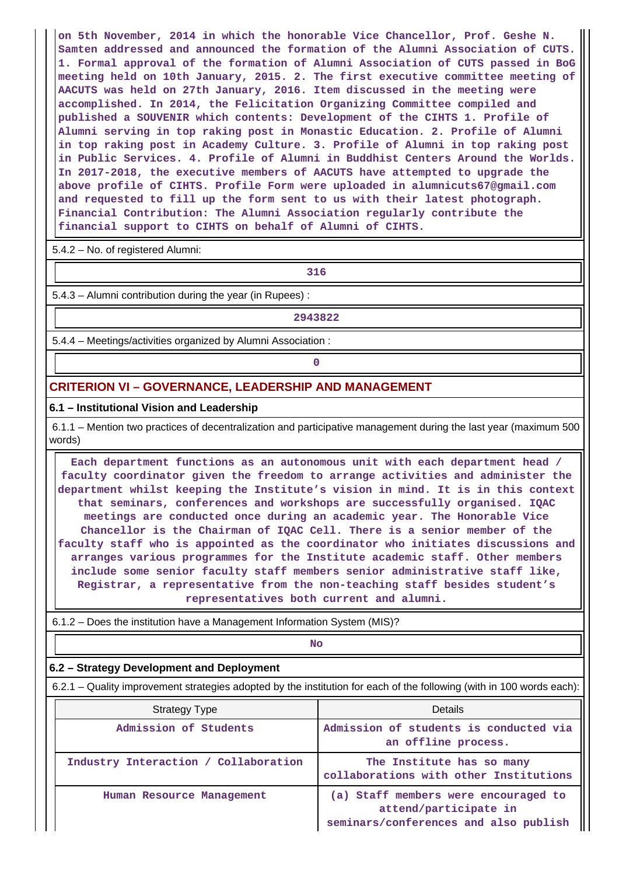**on 5th November, 2014 in which the honorable Vice Chancellor, Prof. Geshe N. Samten addressed and announced the formation of the Alumni Association of CUTS. 1. Formal approval of the formation of Alumni Association of CUTS passed in BoG meeting held on 10th January, 2015. 2. The first executive committee meeting of AACUTS was held on 27th January, 2016. Item discussed in the meeting were accomplished. In 2014, the Felicitation Organizing Committee compiled and published a SOUVENIR which contents: Development of the CIHTS 1. Profile of Alumni serving in top raking post in Monastic Education. 2. Profile of Alumni in top raking post in Academy Culture. 3. Profile of Alumni in top raking post in Public Services. 4. Profile of Alumni in Buddhist Centers Around the Worlds. In 2017-2018, the executive members of AACUTS have attempted to upgrade the above profile of CIHTS. Profile Form were uploaded in alumnicuts67@gmail.com and requested to fill up the form sent to us with their latest photograph. Financial Contribution: The Alumni Association regularly contribute the financial support to CIHTS on behalf of Alumni of CIHTS.**

5.4.2 – No. of registered Alumni:

**1 316** 

5.4.3 – Alumni contribution during the year (in Rupees) :

**2943822**

5.4.4 – Meetings/activities organized by Alumni Association :

**0**

## **CRITERION VI – GOVERNANCE, LEADERSHIP AND MANAGEMENT**

#### **6.1 – Institutional Vision and Leadership**

 6.1.1 – Mention two practices of decentralization and participative management during the last year (maximum 500 words)

 **Each department functions as an autonomous unit with each department head / faculty coordinator given the freedom to arrange activities and administer the department whilst keeping the Institute's vision in mind. It is in this context that seminars, conferences and workshops are successfully organised. IQAC meetings are conducted once during an academic year. The Honorable Vice Chancellor is the Chairman of IQAC Cell. There is a senior member of the faculty staff who is appointed as the coordinator who initiates discussions and arranges various programmes for the Institute academic staff. Other members include some senior faculty staff members senior administrative staff like, Registrar, a representative from the non-teaching staff besides student's representatives both current and alumni.**

6.1.2 – Does the institution have a Management Information System (MIS)?

**No. 2. In the case of the case of the case of the case of the case of the case of the case of the case of the case of the case of the case of the case of the case of the case of the case of the case of the case of the cas** 

#### **6.2 – Strategy Development and Deployment**

6.2.1 – Quality improvement strategies adopted by the institution for each of the following (with in 100 words each):

| <b>Strategy Type</b>                 | Details                                                                                                |  |  |  |  |
|--------------------------------------|--------------------------------------------------------------------------------------------------------|--|--|--|--|
| Admission of Students                | Admission of students is conducted via<br>an offline process.                                          |  |  |  |  |
| Industry Interaction / Collaboration | The Institute has so many<br>collaborations with other Institutions                                    |  |  |  |  |
| Human Resource Management            | (a) Staff members were encouraged to<br>attend/participate in<br>seminars/conferences and also publish |  |  |  |  |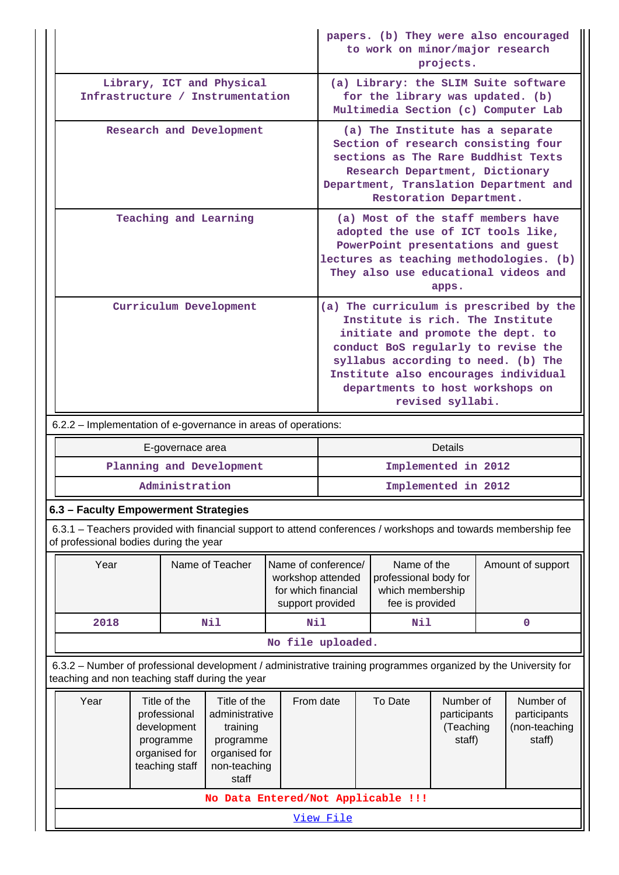|                                                                                                                                                                    |                                                                                                                                                                                                                        |                  |                                          |                                                                                 | papers. (b) They were also encouraged<br>to work on minor/major research<br>projects.                                                                                                                      |                                                                                                                                                                                                                                                                                                |                   |  |           |  |
|--------------------------------------------------------------------------------------------------------------------------------------------------------------------|------------------------------------------------------------------------------------------------------------------------------------------------------------------------------------------------------------------------|------------------|------------------------------------------|---------------------------------------------------------------------------------|------------------------------------------------------------------------------------------------------------------------------------------------------------------------------------------------------------|------------------------------------------------------------------------------------------------------------------------------------------------------------------------------------------------------------------------------------------------------------------------------------------------|-------------------|--|-----------|--|
| Library, ICT and Physical<br>Infrastructure / Instrumentation                                                                                                      | (a) Library: the SLIM Suite software<br>for the library was updated. (b)<br>Multimedia Section (c) Computer Lab                                                                                                        |                  |                                          |                                                                                 |                                                                                                                                                                                                            |                                                                                                                                                                                                                                                                                                |                   |  |           |  |
| Research and Development                                                                                                                                           | (a) The Institute has a separate<br>Section of research consisting four<br>sections as The Rare Buddhist Texts<br>Research Department, Dictionary<br>Department, Translation Department and<br>Restoration Department. |                  |                                          |                                                                                 |                                                                                                                                                                                                            |                                                                                                                                                                                                                                                                                                |                   |  |           |  |
| Teaching and Learning                                                                                                                                              |                                                                                                                                                                                                                        |                  |                                          |                                                                                 | (a) Most of the staff members have<br>adopted the use of ICT tools like,<br>PowerPoint presentations and guest<br>lectures as teaching methodologies. (b)<br>They also use educational videos and<br>apps. |                                                                                                                                                                                                                                                                                                |                   |  |           |  |
|                                                                                                                                                                    | Curriculum Development                                                                                                                                                                                                 |                  |                                          |                                                                                 |                                                                                                                                                                                                            | (a) The curriculum is prescribed by the<br>Institute is rich. The Institute<br>initiate and promote the dept. to<br>conduct BoS regularly to revise the<br>syllabus according to need. (b) The<br>Institute also encourages individual<br>departments to host workshops on<br>revised syllabi. |                   |  |           |  |
| 6.2.2 - Implementation of e-governance in areas of operations:                                                                                                     |                                                                                                                                                                                                                        |                  |                                          |                                                                                 |                                                                                                                                                                                                            |                                                                                                                                                                                                                                                                                                |                   |  |           |  |
|                                                                                                                                                                    |                                                                                                                                                                                                                        | E-governace area |                                          |                                                                                 |                                                                                                                                                                                                            |                                                                                                                                                                                                                                                                                                | <b>Details</b>    |  |           |  |
|                                                                                                                                                                    |                                                                                                                                                                                                                        |                  | Planning and Development                 |                                                                                 |                                                                                                                                                                                                            | Implemented in 2012                                                                                                                                                                                                                                                                            |                   |  |           |  |
|                                                                                                                                                                    |                                                                                                                                                                                                                        | Administration   |                                          |                                                                                 |                                                                                                                                                                                                            | Implemented in 2012                                                                                                                                                                                                                                                                            |                   |  |           |  |
| 6.3 - Faculty Empowerment Strategies                                                                                                                               |                                                                                                                                                                                                                        |                  |                                          |                                                                                 |                                                                                                                                                                                                            |                                                                                                                                                                                                                                                                                                |                   |  |           |  |
| 6.3.1 - Teachers provided with financial support to attend conferences / workshops and towards membership fee<br>of professional bodies during the year            |                                                                                                                                                                                                                        |                  |                                          |                                                                                 |                                                                                                                                                                                                            |                                                                                                                                                                                                                                                                                                |                   |  |           |  |
| Year                                                                                                                                                               | Name of Teacher                                                                                                                                                                                                        |                  | Name of conference/<br>workshop attended | Name of the<br>professional body for<br>for which financial<br>which membership |                                                                                                                                                                                                            |                                                                                                                                                                                                                                                                                                | Amount of support |  |           |  |
|                                                                                                                                                                    |                                                                                                                                                                                                                        |                  |                                          | support provided                                                                |                                                                                                                                                                                                            | fee is provided                                                                                                                                                                                                                                                                                |                   |  |           |  |
| 2018                                                                                                                                                               |                                                                                                                                                                                                                        |                  | Nil                                      | <b>Nil</b>                                                                      |                                                                                                                                                                                                            | Nil                                                                                                                                                                                                                                                                                            |                   |  | $\pmb{0}$ |  |
|                                                                                                                                                                    |                                                                                                                                                                                                                        |                  |                                          | No file uploaded.                                                               |                                                                                                                                                                                                            |                                                                                                                                                                                                                                                                                                |                   |  |           |  |
| 6.3.2 - Number of professional development / administrative training programmes organized by the University for<br>teaching and non teaching staff during the year |                                                                                                                                                                                                                        |                  |                                          |                                                                                 |                                                                                                                                                                                                            |                                                                                                                                                                                                                                                                                                |                   |  |           |  |

[View File](https://assessmentonline.naac.gov.in/public/Postacc/Development_training_programmes/6565_Development_training_programmes_1600165882.xlsx)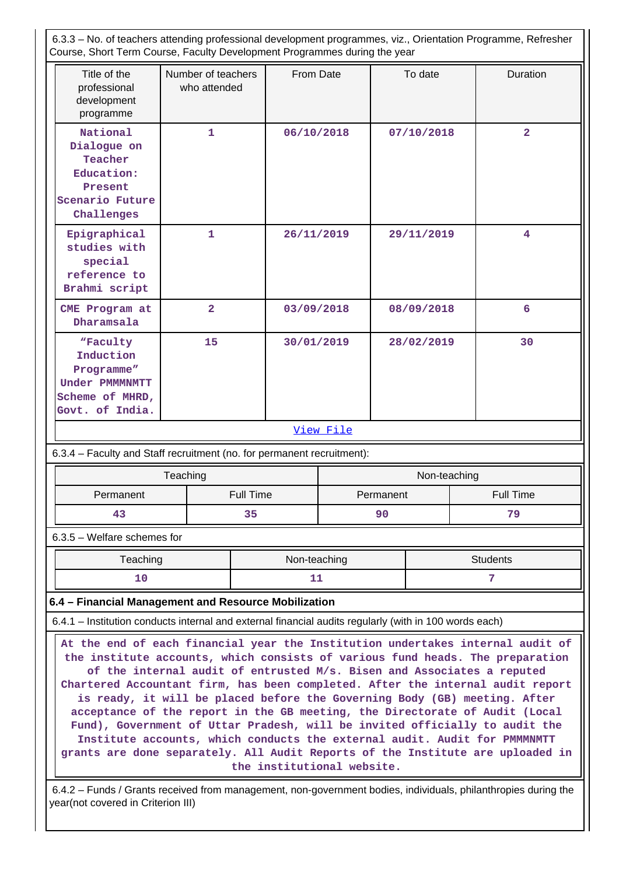6.3.3 – No. of teachers attending professional development programmes, viz., Orientation Programme, Refresher Course, Short Term Course, Faculty Development Programmes during the year Title of the professional development programme Number of teachers who attended From Date  $\vert$  To date  $\vert$  Duration **National Dialogue on Teacher Education: Present Scenario Future Challenges 1 06/10/2018 07/10/2018 2 Epigraphical studies with special reference to Brahmi script 1 26/11/2019 29/11/2019 4 CME Program at Dharamsala 2 03/09/2018 08/09/2018 6 "Faculty Induction Programme" Under PMMMNMTT Scheme of MHRD, Govt. of India. 15 30/01/2019 28/02/2019 30** [View File](https://assessmentonline.naac.gov.in/public/Postacc/Training_Programmes/6565_Training_Programmes_1600164791.xlsx) 6.3.4 – Faculty and Staff recruitment (no. for permanent recruitment): Teaching Non-teaching Non-teaching Permanent | Full Time | Permanent | Full Time **43 35 90 79** 6.3.5 – Welfare schemes for Teaching Non-teaching Non-teaching Students **10 11 7 6.4 – Financial Management and Resource Mobilization** 6.4.1 – Institution conducts internal and external financial audits regularly (with in 100 words each) **At the end of each financial year the Institution undertakes internal audit of the institute accounts, which consists of various fund heads. The preparation of the internal audit of entrusted M/s. Bisen and Associates a reputed Chartered Accountant firm, has been completed. After the internal audit report is ready, it will be placed before the Governing Body (GB) meeting. After acceptance of the report in the GB meeting, the Directorate of Audit (Local Fund), Government of Uttar Pradesh, will be invited officially to audit the Institute accounts, which conducts the external audit. Audit for PMMMNMTT grants are done separately. All Audit Reports of the Institute are uploaded in the institutional website.** 6.4.2 – Funds / Grants received from management, non-government bodies, individuals, philanthropies during the

year(not covered in Criterion III)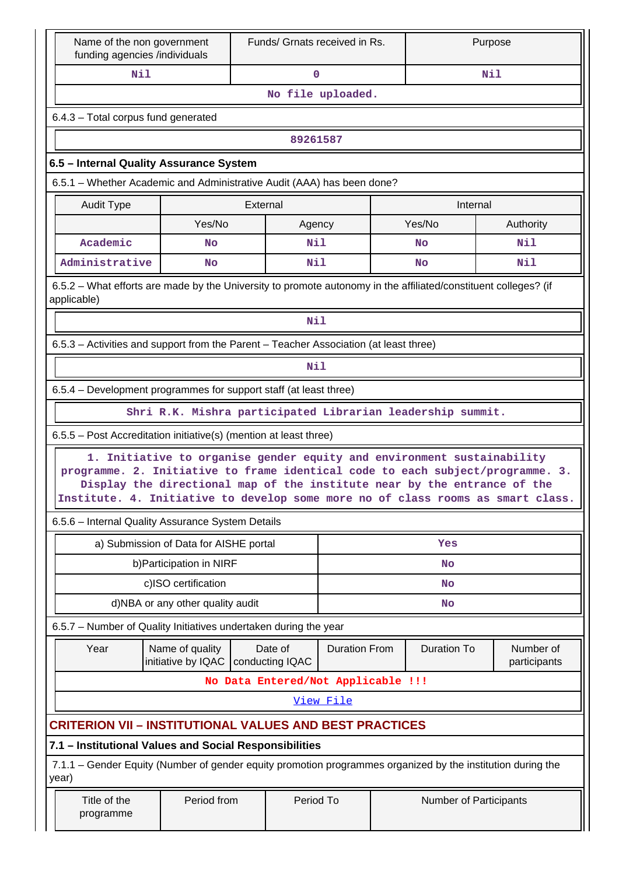| Name of the non government<br>funding agencies /individuals                                                                                                       | Funds/ Grnats received in Rs.                                                                                   |                                                                                                                                                    |                      |  | Purpose                |                           |  |  |  |  |
|-------------------------------------------------------------------------------------------------------------------------------------------------------------------|-----------------------------------------------------------------------------------------------------------------|----------------------------------------------------------------------------------------------------------------------------------------------------|----------------------|--|------------------------|---------------------------|--|--|--|--|
| Nil                                                                                                                                                               | Nil<br>0                                                                                                        |                                                                                                                                                    |                      |  |                        |                           |  |  |  |  |
| No file uploaded.                                                                                                                                                 |                                                                                                                 |                                                                                                                                                    |                      |  |                        |                           |  |  |  |  |
| 6.4.3 - Total corpus fund generated                                                                                                                               |                                                                                                                 |                                                                                                                                                    |                      |  |                        |                           |  |  |  |  |
|                                                                                                                                                                   | 89261587                                                                                                        |                                                                                                                                                    |                      |  |                        |                           |  |  |  |  |
| 6.5 - Internal Quality Assurance System                                                                                                                           |                                                                                                                 |                                                                                                                                                    |                      |  |                        |                           |  |  |  |  |
| 6.5.1 - Whether Academic and Administrative Audit (AAA) has been done?                                                                                            |                                                                                                                 |                                                                                                                                                    |                      |  |                        |                           |  |  |  |  |
| Audit Type                                                                                                                                                        | External<br>Internal                                                                                            |                                                                                                                                                    |                      |  |                        |                           |  |  |  |  |
|                                                                                                                                                                   | Yes/No<br>Yes/No<br>Authority<br>Agency                                                                         |                                                                                                                                                    |                      |  |                        |                           |  |  |  |  |
| Academic                                                                                                                                                          | No                                                                                                              | Nil                                                                                                                                                |                      |  | No                     | Nil                       |  |  |  |  |
| Administrative                                                                                                                                                    | <b>No</b>                                                                                                       | Nil                                                                                                                                                |                      |  | <b>No</b>              | Nil                       |  |  |  |  |
| applicable)                                                                                                                                                       | 6.5.2 – What efforts are made by the University to promote autonomy in the affiliated/constituent colleges? (if |                                                                                                                                                    |                      |  |                        |                           |  |  |  |  |
|                                                                                                                                                                   |                                                                                                                 | Nil                                                                                                                                                |                      |  |                        |                           |  |  |  |  |
| 6.5.3 - Activities and support from the Parent - Teacher Association (at least three)                                                                             |                                                                                                                 |                                                                                                                                                    |                      |  |                        |                           |  |  |  |  |
|                                                                                                                                                                   |                                                                                                                 | <b>Nil</b>                                                                                                                                         |                      |  |                        |                           |  |  |  |  |
|                                                                                                                                                                   | 6.5.4 – Development programmes for support staff (at least three)                                               |                                                                                                                                                    |                      |  |                        |                           |  |  |  |  |
|                                                                                                                                                                   |                                                                                                                 | Shri R.K. Mishra participated Librarian leadership summit.                                                                                         |                      |  |                        |                           |  |  |  |  |
| 6.5.5 - Post Accreditation initiative(s) (mention at least three)                                                                                                 |                                                                                                                 |                                                                                                                                                    |                      |  |                        |                           |  |  |  |  |
| programme. 2. Initiative to frame identical code to each subject/programme. 3.<br>Institute. 4. Initiative to develop some more no of class rooms as smart class. |                                                                                                                 | 1. Initiative to organise gender equity and environment sustainability<br>Display the directional map of the institute near by the entrance of the |                      |  |                        |                           |  |  |  |  |
| 6.5.6 - Internal Quality Assurance System Details                                                                                                                 |                                                                                                                 |                                                                                                                                                    |                      |  |                        |                           |  |  |  |  |
|                                                                                                                                                                   | a) Submission of Data for AISHE portal                                                                          |                                                                                                                                                    |                      |  | Yes                    |                           |  |  |  |  |
|                                                                                                                                                                   | b) Participation in NIRF                                                                                        |                                                                                                                                                    |                      |  | No                     |                           |  |  |  |  |
|                                                                                                                                                                   | c)ISO certification                                                                                             |                                                                                                                                                    |                      |  | <b>No</b>              |                           |  |  |  |  |
|                                                                                                                                                                   | d)NBA or any other quality audit                                                                                |                                                                                                                                                    |                      |  | No                     |                           |  |  |  |  |
| 6.5.7 - Number of Quality Initiatives undertaken during the year                                                                                                  |                                                                                                                 |                                                                                                                                                    |                      |  |                        |                           |  |  |  |  |
| Year                                                                                                                                                              | Name of quality<br>initiative by IQAC                                                                           | Date of<br>conducting IQAC                                                                                                                         | <b>Duration From</b> |  | <b>Duration To</b>     | Number of<br>participants |  |  |  |  |
|                                                                                                                                                                   |                                                                                                                 | No Data Entered/Not Applicable !!!                                                                                                                 |                      |  |                        |                           |  |  |  |  |
|                                                                                                                                                                   |                                                                                                                 |                                                                                                                                                    | View File            |  |                        |                           |  |  |  |  |
| <b>CRITERION VII - INSTITUTIONAL VALUES AND BEST PRACTICES</b>                                                                                                    |                                                                                                                 |                                                                                                                                                    |                      |  |                        |                           |  |  |  |  |
| 7.1 - Institutional Values and Social Responsibilities                                                                                                            |                                                                                                                 |                                                                                                                                                    |                      |  |                        |                           |  |  |  |  |
| 7.1.1 – Gender Equity (Number of gender equity promotion programmes organized by the institution during the<br>year)                                              |                                                                                                                 |                                                                                                                                                    |                      |  |                        |                           |  |  |  |  |
| Title of the<br>programme                                                                                                                                         | Period from                                                                                                     | Period To                                                                                                                                          |                      |  | Number of Participants |                           |  |  |  |  |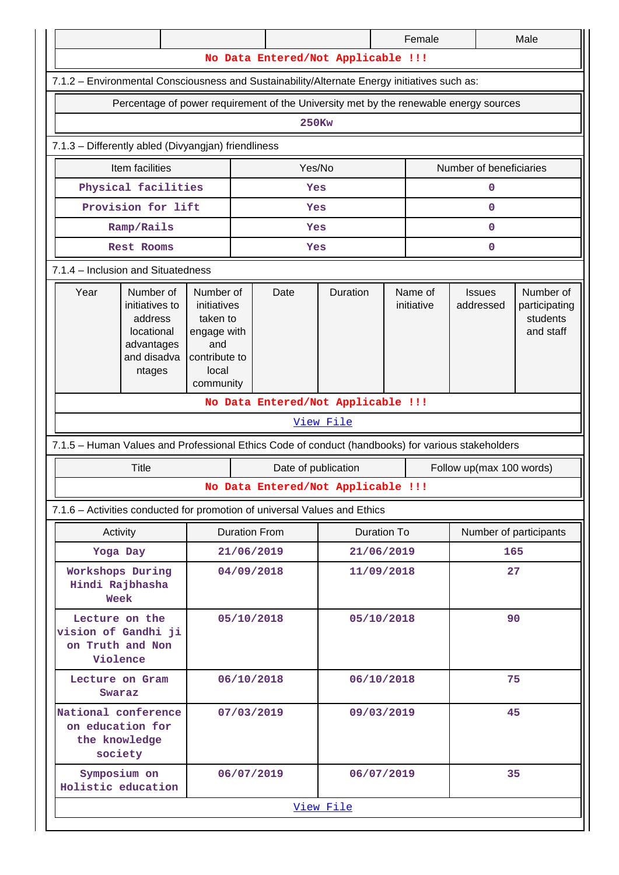|                                                                                                   |                                                                                             |                                                                                                   |            |                      |                                    |            | Female                |                            | Male                                                |  |  |  |  |
|---------------------------------------------------------------------------------------------------|---------------------------------------------------------------------------------------------|---------------------------------------------------------------------------------------------------|------------|----------------------|------------------------------------|------------|-----------------------|----------------------------|-----------------------------------------------------|--|--|--|--|
|                                                                                                   | No Data Entered/Not Applicable !!!                                                          |                                                                                                   |            |                      |                                    |            |                       |                            |                                                     |  |  |  |  |
| 7.1.2 - Environmental Consciousness and Sustainability/Alternate Energy initiatives such as:      |                                                                                             |                                                                                                   |            |                      |                                    |            |                       |                            |                                                     |  |  |  |  |
| Percentage of power requirement of the University met by the renewable energy sources             |                                                                                             |                                                                                                   |            |                      |                                    |            |                       |                            |                                                     |  |  |  |  |
| <b>250Kw</b>                                                                                      |                                                                                             |                                                                                                   |            |                      |                                    |            |                       |                            |                                                     |  |  |  |  |
|                                                                                                   | 7.1.3 - Differently abled (Divyangjan) friendliness                                         |                                                                                                   |            |                      |                                    |            |                       |                            |                                                     |  |  |  |  |
|                                                                                                   | Item facilities                                                                             |                                                                                                   |            | Yes/No               |                                    |            |                       | Number of beneficiaries    |                                                     |  |  |  |  |
| Physical facilities<br>$\mathbf 0$<br>Yes                                                         |                                                                                             |                                                                                                   |            |                      |                                    |            |                       |                            |                                                     |  |  |  |  |
| Provision for lift<br>$\mathbf 0$<br>Yes                                                          |                                                                                             |                                                                                                   |            |                      |                                    |            |                       |                            |                                                     |  |  |  |  |
|                                                                                                   | Ramp/Rails                                                                                  |                                                                                                   |            | Yes                  |                                    |            |                       | $\mathbf 0$                |                                                     |  |  |  |  |
|                                                                                                   | Rest Rooms                                                                                  |                                                                                                   |            | Yes                  |                                    |            |                       | 0                          |                                                     |  |  |  |  |
|                                                                                                   | 7.1.4 - Inclusion and Situatedness                                                          |                                                                                                   |            |                      |                                    |            |                       |                            |                                                     |  |  |  |  |
| Year                                                                                              | Number of<br>initiatives to<br>address<br>locational<br>advantages<br>and disadva<br>ntages | Number of<br>initiatives<br>taken to<br>engage with<br>and<br>contribute to<br>local<br>community |            | Date                 | Duration                           |            | Name of<br>initiative | <b>Issues</b><br>addressed | Number of<br>participating<br>students<br>and staff |  |  |  |  |
|                                                                                                   | No Data Entered/Not Applicable !!!                                                          |                                                                                                   |            |                      |                                    |            |                       |                            |                                                     |  |  |  |  |
|                                                                                                   |                                                                                             |                                                                                                   |            |                      | View File                          |            |                       |                            |                                                     |  |  |  |  |
| 7.1.5 - Human Values and Professional Ethics Code of conduct (handbooks) for various stakeholders |                                                                                             |                                                                                                   |            |                      |                                    |            |                       |                            |                                                     |  |  |  |  |
|                                                                                                   | <b>Title</b>                                                                                |                                                                                                   |            | Date of publication  |                                    |            |                       | Follow up(max 100 words)   |                                                     |  |  |  |  |
|                                                                                                   |                                                                                             |                                                                                                   |            |                      | No Data Entered/Not Applicable !!! |            |                       |                            |                                                     |  |  |  |  |
| 7.1.6 - Activities conducted for promotion of universal Values and Ethics                         |                                                                                             |                                                                                                   |            |                      |                                    |            |                       |                            |                                                     |  |  |  |  |
| Activity                                                                                          |                                                                                             |                                                                                                   |            | <b>Duration From</b> | Duration To                        |            |                       |                            | Number of participants                              |  |  |  |  |
| Yoga Day                                                                                          |                                                                                             |                                                                                                   | 21/06/2019 |                      |                                    | 21/06/2019 |                       |                            | 165                                                 |  |  |  |  |
| Workshops During<br>Hindi Rajbhasha<br>Week                                                       |                                                                                             |                                                                                                   |            | 04/09/2018           | 11/09/2018                         |            |                       |                            | 27                                                  |  |  |  |  |
|                                                                                                   | Lecture on the<br>vision of Gandhi ji<br>on Truth and Non<br>Violence                       |                                                                                                   |            | 05/10/2018           | 05/10/2018                         |            |                       | 90                         |                                                     |  |  |  |  |
|                                                                                                   | Lecture on Gram<br>06/10/2018<br>Swaraz                                                     |                                                                                                   |            |                      | 06/10/2018                         |            |                       |                            | 75                                                  |  |  |  |  |
|                                                                                                   | National conference<br>07/03/2019<br>on education for<br>the knowledge<br>society           |                                                                                                   |            |                      | 09/03/2019                         |            |                       |                            | 45                                                  |  |  |  |  |
| Symposium on<br>Holistic education                                                                |                                                                                             |                                                                                                   |            | 06/07/2019           | 06/07/2019                         |            |                       |                            | 35                                                  |  |  |  |  |
|                                                                                                   |                                                                                             |                                                                                                   |            |                      | View File                          |            |                       |                            |                                                     |  |  |  |  |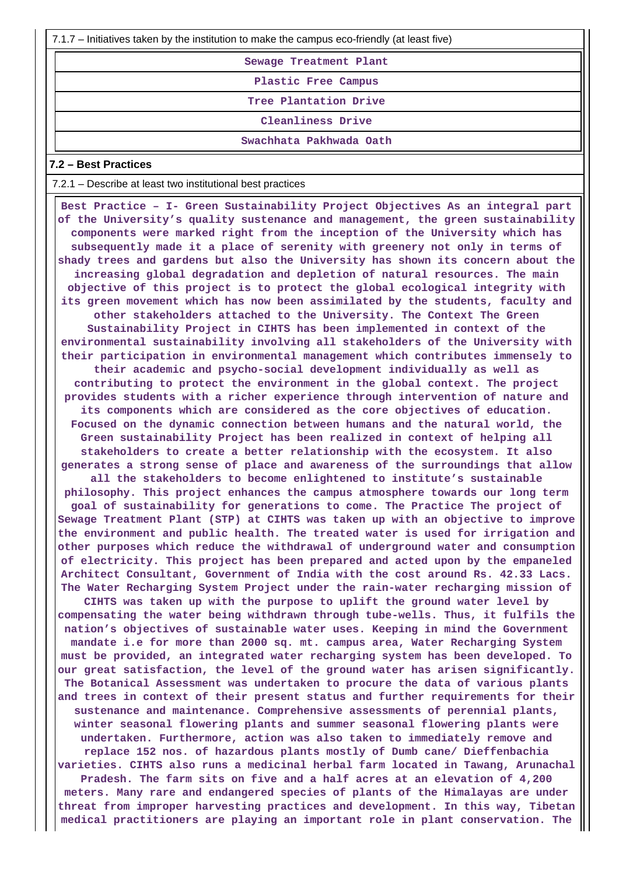7.1.7 – Initiatives taken by the institution to make the campus eco-friendly (at least five)

**Sewage Treatment Plant**

**Plastic Free Campus**

**Tree Plantation Drive**

**Cleanliness Drive**

**Swachhata Pakhwada Oath**

### **7.2 – Best Practices**

7.2.1 – Describe at least two institutional best practices

 **Best Practice – I- Green Sustainability Project Objectives As an integral part of the University's quality sustenance and management, the green sustainability components were marked right from the inception of the University which has subsequently made it a place of serenity with greenery not only in terms of shady trees and gardens but also the University has shown its concern about the increasing global degradation and depletion of natural resources. The main objective of this project is to protect the global ecological integrity with its green movement which has now been assimilated by the students, faculty and other stakeholders attached to the University. The Context The Green Sustainability Project in CIHTS has been implemented in context of the environmental sustainability involving all stakeholders of the University with their participation in environmental management which contributes immensely to their academic and psycho-social development individually as well as contributing to protect the environment in the global context. The project provides students with a richer experience through intervention of nature and its components which are considered as the core objectives of education. Focused on the dynamic connection between humans and the natural world, the Green sustainability Project has been realized in context of helping all stakeholders to create a better relationship with the ecosystem. It also generates a strong sense of place and awareness of the surroundings that allow all the stakeholders to become enlightened to institute's sustainable philosophy. This project enhances the campus atmosphere towards our long term goal of sustainability for generations to come. The Practice The project of Sewage Treatment Plant (STP) at CIHTS was taken up with an objective to improve the environment and public health. The treated water is used for irrigation and other purposes which reduce the withdrawal of underground water and consumption of electricity. This project has been prepared and acted upon by the empaneled Architect Consultant, Government of India with the cost around Rs. 42.33 Lacs. The Water Recharging System Project under the rain-water recharging mission of CIHTS was taken up with the purpose to uplift the ground water level by compensating the water being withdrawn through tube-wells. Thus, it fulfils the nation's objectives of sustainable water uses. Keeping in mind the Government mandate i.e for more than 2000 sq. mt. campus area, Water Recharging System must be provided, an integrated water recharging system has been developed. To our great satisfaction, the level of the ground water has arisen significantly. The Botanical Assessment was undertaken to procure the data of various plants and trees in context of their present status and further requirements for their sustenance and maintenance. Comprehensive assessments of perennial plants, winter seasonal flowering plants and summer seasonal flowering plants were undertaken. Furthermore, action was also taken to immediately remove and replace 152 nos. of hazardous plants mostly of Dumb cane/ Dieffenbachia varieties. CIHTS also runs a medicinal herbal farm located in Tawang, Arunachal Pradesh. The farm sits on five and a half acres at an elevation of 4,200 meters. Many rare and endangered species of plants of the Himalayas are under threat from improper harvesting practices and development. In this way, Tibetan medical practitioners are playing an important role in plant conservation. The**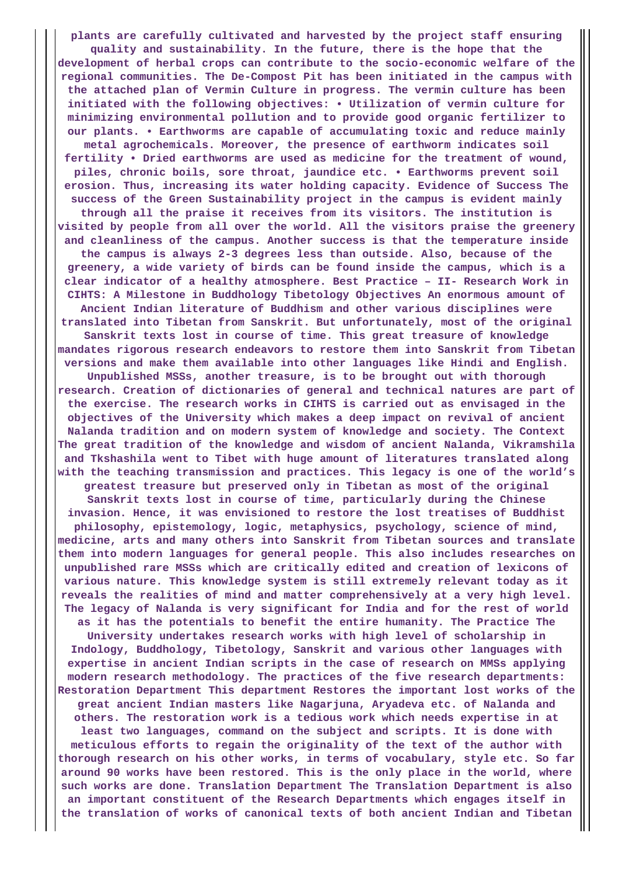**plants are carefully cultivated and harvested by the project staff ensuring quality and sustainability. In the future, there is the hope that the development of herbal crops can contribute to the socio-economic welfare of the regional communities. The De-Compost Pit has been initiated in the campus with the attached plan of Vermin Culture in progress. The vermin culture has been initiated with the following objectives: • Utilization of vermin culture for minimizing environmental pollution and to provide good organic fertilizer to our plants. • Earthworms are capable of accumulating toxic and reduce mainly metal agrochemicals. Moreover, the presence of earthworm indicates soil fertility • Dried earthworms are used as medicine for the treatment of wound, piles, chronic boils, sore throat, jaundice etc. • Earthworms prevent soil erosion. Thus, increasing its water holding capacity. Evidence of Success The success of the Green Sustainability project in the campus is evident mainly through all the praise it receives from its visitors. The institution is visited by people from all over the world. All the visitors praise the greenery and cleanliness of the campus. Another success is that the temperature inside the campus is always 2-3 degrees less than outside. Also, because of the greenery, a wide variety of birds can be found inside the campus, which is a clear indicator of a healthy atmosphere. Best Practice – II- Research Work in CIHTS: A Milestone in Buddhology Tibetology Objectives An enormous amount of Ancient Indian literature of Buddhism and other various disciplines were translated into Tibetan from Sanskrit. But unfortunately, most of the original Sanskrit texts lost in course of time. This great treasure of knowledge mandates rigorous research endeavors to restore them into Sanskrit from Tibetan versions and make them available into other languages like Hindi and English. Unpublished MSSs, another treasure, is to be brought out with thorough research. Creation of dictionaries of general and technical natures are part of the exercise. The research works in CIHTS is carried out as envisaged in the objectives of the University which makes a deep impact on revival of ancient Nalanda tradition and on modern system of knowledge and society. The Context The great tradition of the knowledge and wisdom of ancient Nalanda, Vikramshila and Tkshashila went to Tibet with huge amount of literatures translated along with the teaching transmission and practices. This legacy is one of the world's greatest treasure but preserved only in Tibetan as most of the original Sanskrit texts lost in course of time, particularly during the Chinese invasion. Hence, it was envisioned to restore the lost treatises of Buddhist philosophy, epistemology, logic, metaphysics, psychology, science of mind, medicine, arts and many others into Sanskrit from Tibetan sources and translate them into modern languages for general people. This also includes researches on unpublished rare MSSs which are critically edited and creation of lexicons of various nature. This knowledge system is still extremely relevant today as it reveals the realities of mind and matter comprehensively at a very high level. The legacy of Nalanda is very significant for India and for the rest of world as it has the potentials to benefit the entire humanity. The Practice The University undertakes research works with high level of scholarship in Indology, Buddhology, Tibetology, Sanskrit and various other languages with expertise in ancient Indian scripts in the case of research on MMSs applying modern research methodology. The practices of the five research departments: Restoration Department This department Restores the important lost works of the great ancient Indian masters like Nagarjuna, Aryadeva etc. of Nalanda and others. The restoration work is a tedious work which needs expertise in at least two languages, command on the subject and scripts. It is done with meticulous efforts to regain the originality of the text of the author with thorough research on his other works, in terms of vocabulary, style etc. So far around 90 works have been restored. This is the only place in the world, where such works are done. Translation Department The Translation Department is also an important constituent of the Research Departments which engages itself in the translation of works of canonical texts of both ancient Indian and Tibetan**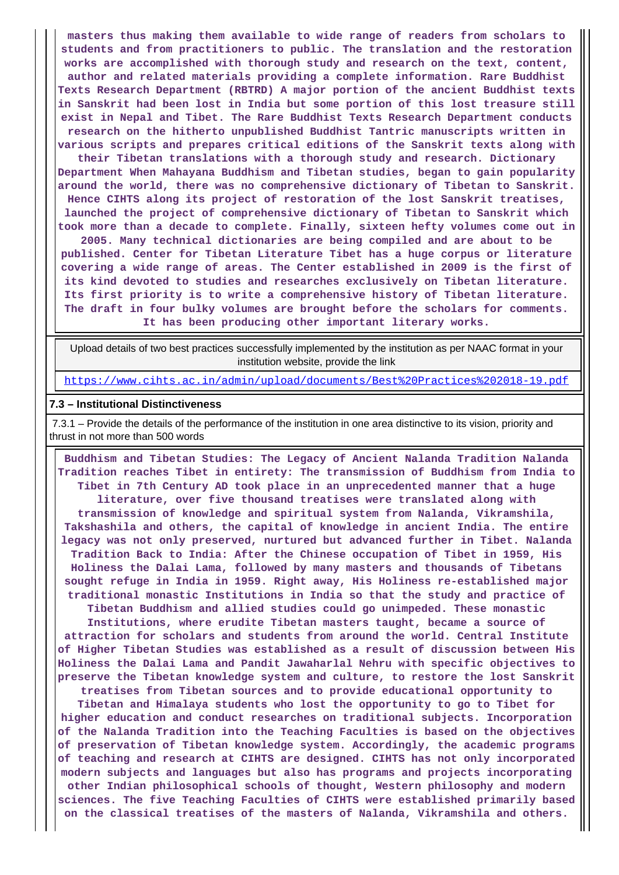**masters thus making them available to wide range of readers from scholars to students and from practitioners to public. The translation and the restoration works are accomplished with thorough study and research on the text, content, author and related materials providing a complete information. Rare Buddhist Texts Research Department (RBTRD) A major portion of the ancient Buddhist texts in Sanskrit had been lost in India but some portion of this lost treasure still exist in Nepal and Tibet. The Rare Buddhist Texts Research Department conducts research on the hitherto unpublished Buddhist Tantric manuscripts written in various scripts and prepares critical editions of the Sanskrit texts along with**

**their Tibetan translations with a thorough study and research. Dictionary Department When Mahayana Buddhism and Tibetan studies, began to gain popularity around the world, there was no comprehensive dictionary of Tibetan to Sanskrit. Hence CIHTS along its project of restoration of the lost Sanskrit treatises, launched the project of comprehensive dictionary of Tibetan to Sanskrit which took more than a decade to complete. Finally, sixteen hefty volumes come out in**

**2005. Many technical dictionaries are being compiled and are about to be published. Center for Tibetan Literature Tibet has a huge corpus or literature covering a wide range of areas. The Center established in 2009 is the first of its kind devoted to studies and researches exclusively on Tibetan literature. Its first priority is to write a comprehensive history of Tibetan literature. The draft in four bulky volumes are brought before the scholars for comments. It has been producing other important literary works.**

 Upload details of two best practices successfully implemented by the institution as per NAAC format in your institution website, provide the link

<https://www.cihts.ac.in/admin/upload/documents/Best%20Practices%202018-19.pdf>

## **7.3 – Institutional Distinctiveness**

 7.3.1 – Provide the details of the performance of the institution in one area distinctive to its vision, priority and thrust in not more than 500 words

 **Buddhism and Tibetan Studies: The Legacy of Ancient Nalanda Tradition Nalanda Tradition reaches Tibet in entirety: The transmission of Buddhism from India to Tibet in 7th Century AD took place in an unprecedented manner that a huge literature, over five thousand treatises were translated along with transmission of knowledge and spiritual system from Nalanda, Vikramshila, Takshashila and others, the capital of knowledge in ancient India. The entire legacy was not only preserved, nurtured but advanced further in Tibet. Nalanda Tradition Back to India: After the Chinese occupation of Tibet in 1959, His Holiness the Dalai Lama, followed by many masters and thousands of Tibetans sought refuge in India in 1959. Right away, His Holiness re-established major traditional monastic Institutions in India so that the study and practice of Tibetan Buddhism and allied studies could go unimpeded. These monastic**

**Institutions, where erudite Tibetan masters taught, became a source of attraction for scholars and students from around the world. Central Institute of Higher Tibetan Studies was established as a result of discussion between His Holiness the Dalai Lama and Pandit Jawaharlal Nehru with specific objectives to preserve the Tibetan knowledge system and culture, to restore the lost Sanskrit**

**treatises from Tibetan sources and to provide educational opportunity to Tibetan and Himalaya students who lost the opportunity to go to Tibet for higher education and conduct researches on traditional subjects. Incorporation of the Nalanda Tradition into the Teaching Faculties is based on the objectives of preservation of Tibetan knowledge system. Accordingly, the academic programs of teaching and research at CIHTS are designed. CIHTS has not only incorporated modern subjects and languages but also has programs and projects incorporating other Indian philosophical schools of thought, Western philosophy and modern sciences. The five Teaching Faculties of CIHTS were established primarily based on the classical treatises of the masters of Nalanda, Vikramshila and others.**